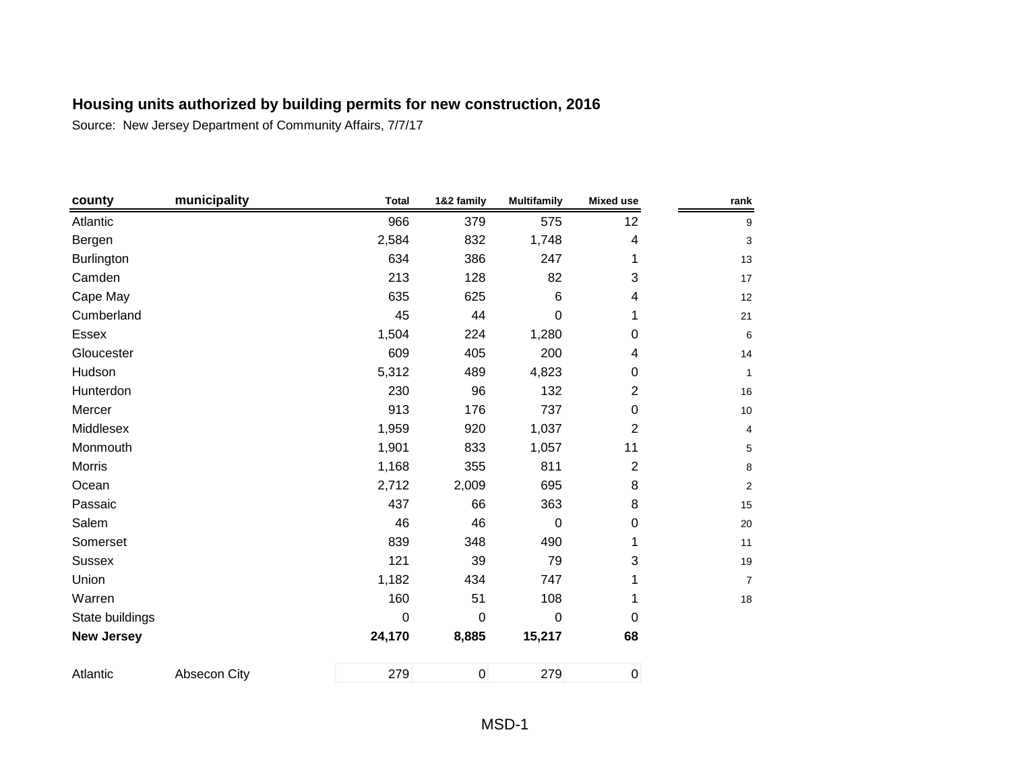| county            | municipality | <b>Total</b> | 1&2 family     | <b>Multifamily</b> | <b>Mixed use</b> | rank            |
|-------------------|--------------|--------------|----------------|--------------------|------------------|-----------------|
| Atlantic          |              | 966          | 379            | 575                | 12               | 9               |
| Bergen            |              | 2,584        | 832            | 1,748              | 4                | 3               |
| Burlington        |              | 634          | 386            | 247                | 1                | 13              |
| Camden            |              | 213          | 128            | 82                 | 3                | 17              |
| Cape May          |              | 635          | 625            | 6                  | 4                | 12              |
| Cumberland        |              | 45           | 44             | 0                  | 1                | 21              |
| <b>Essex</b>      |              | 1,504        | 224            | 1,280              | 0                | 6               |
| Gloucester        |              | 609          | 405            | 200                | 4                | 14              |
| Hudson            |              | 5,312        | 489            | 4,823              | 0                | $\mathbf{1}$    |
| Hunterdon         |              | 230          | 96             | 132                | $\overline{2}$   | 16              |
| Mercer            |              | 913          | 176            | 737                | 0                | 10 <sup>°</sup> |
| Middlesex         |              | 1,959        | 920            | 1,037              | $\overline{c}$   | $\overline{4}$  |
| Monmouth          |              | 1,901        | 833            | 1,057              | 11               | $5\,$           |
| <b>Morris</b>     |              | 1,168        | 355            | 811                | $\overline{2}$   | 8               |
| Ocean             |              | 2,712        | 2,009          | 695                | 8                | $\overline{2}$  |
| Passaic           |              | 437          | 66             | 363                | 8                | 15              |
| Salem             |              | 46           | 46             | 0                  | $\mathbf 0$      | 20              |
| Somerset          |              | 839          | 348            | 490                | 1                | 11              |
| <b>Sussex</b>     |              | 121          | 39             | 79                 | 3                | 19              |
| Union             |              | 1,182        | 434            | 747                |                  | $\overline{7}$  |
| Warren            |              | 160          | 51             | 108                | 1                | 18              |
| State buildings   |              | 0            | $\mathbf 0$    | 0                  | $\mathbf 0$      |                 |
| <b>New Jersey</b> |              | 24,170       | 8,885          | 15,217             | 68               |                 |
| Atlantic          | Absecon City | 279          | $\overline{0}$ | 279                | $\pmb{0}$        |                 |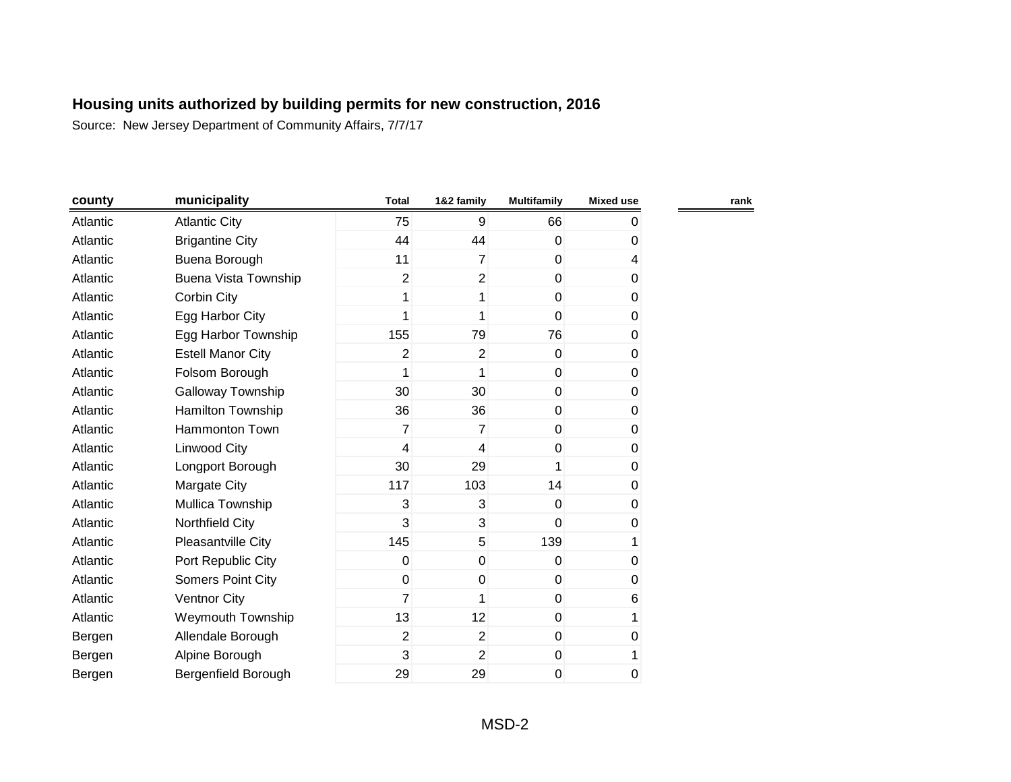| county   | municipality                | <b>Total</b>   | 1&2 family     | <b>Multifamily</b> | <b>Mixed use</b>         |  |
|----------|-----------------------------|----------------|----------------|--------------------|--------------------------|--|
| Atlantic | <b>Atlantic City</b>        | 75             | 9              | 66                 | 0                        |  |
| Atlantic | <b>Brigantine City</b>      | 44             | 44             | $\Omega$           | 0                        |  |
| Atlantic | Buena Borough               | 11             | $\overline{7}$ | $\mathbf 0$        | $\overline{\mathcal{L}}$ |  |
| Atlantic | <b>Buena Vista Township</b> | $\overline{2}$ | $\overline{2}$ | $\mathbf{0}$       | 0                        |  |
| Atlantic | Corbin City                 | 1              | 1              | $\mathbf 0$        | 0                        |  |
| Atlantic | Egg Harbor City             | 1              | 1              | $\mathbf{0}$       | 0                        |  |
| Atlantic | Egg Harbor Township         | 155            | 79             | 76                 | 0                        |  |
| Atlantic | <b>Estell Manor City</b>    | 2              | 2              | $\overline{0}$     | 0                        |  |
| Atlantic | Folsom Borough              | 1              | 1              | $\overline{0}$     | 0                        |  |
| Atlantic | Galloway Township           | 30             | 30             | $\pmb{0}$          | 0                        |  |
| Atlantic | Hamilton Township           | 36             | 36             | $\mathbf 0$        | 0                        |  |
| Atlantic | <b>Hammonton Town</b>       | 7              | $\overline{7}$ | $\mathbf 0$        | 0                        |  |
| Atlantic | Linwood City                | 4              | 4              | $\mathbf 0$        | $\pmb{0}$                |  |
| Atlantic | Longport Borough            | 30             | 29             | 1                  | $\pmb{0}$                |  |
| Atlantic | Margate City                | 117            | 103            | 14                 | $\pmb{0}$                |  |
| Atlantic | Mullica Township            | 3              | 3              | $\mathbf{0}$       | $\pmb{0}$                |  |
| Atlantic | Northfield City             | 3              | 3              | $\overline{0}$     | 0                        |  |
| Atlantic | Pleasantville City          | 145            | 5              | 139                | 1                        |  |
| Atlantic | Port Republic City          | $\mathbf 0$    | $\mathbf 0$    | $\mathbf 0$        | 0                        |  |
| Atlantic | <b>Somers Point City</b>    | $\mathbf 0$    | $\mathbf 0$    | $\overline{0}$     | 0                        |  |
| Atlantic | <b>Ventnor City</b>         | $\overline{7}$ | 1              | $\mathbf 0$        | 6                        |  |
| Atlantic | Weymouth Township           | 13             | 12             | $\mathbf{0}$       | 1                        |  |
| Bergen   | Allendale Borough           | $\overline{2}$ | $\overline{2}$ | $\mathbf 0$        | 0                        |  |
| Bergen   | Alpine Borough              | 3              | $\overline{2}$ | $\overline{0}$     |                          |  |
| Bergen   | Bergenfield Borough         | 29             | 29             | 0                  | 0                        |  |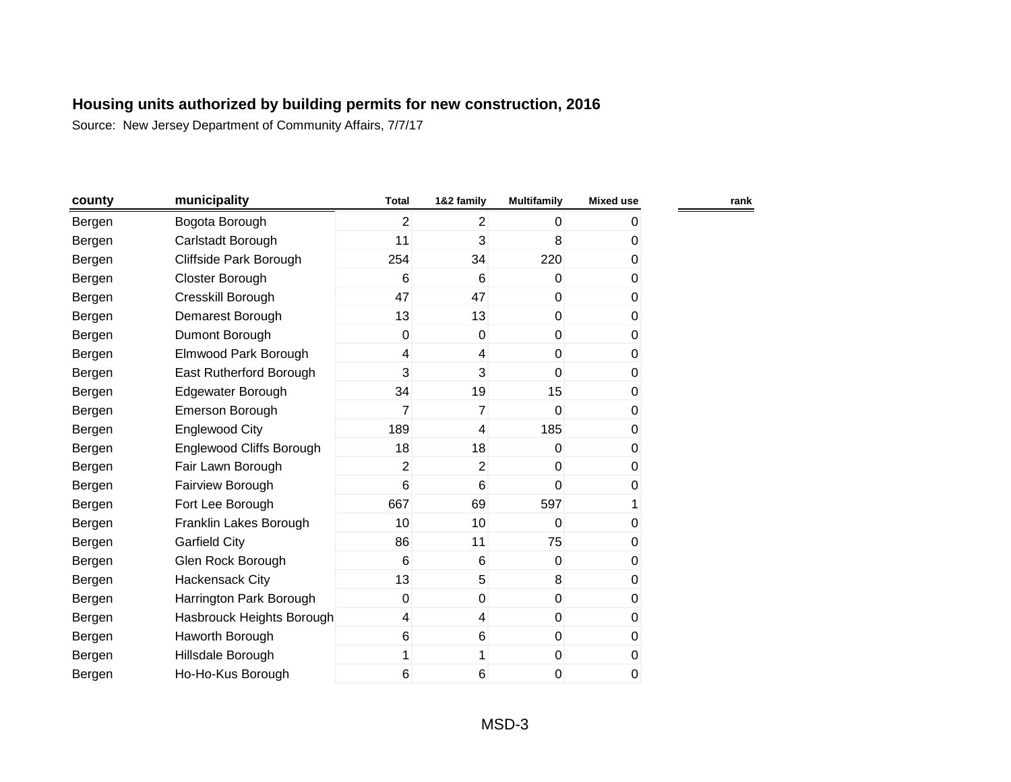| county | municipality              | <b>Total</b>   | 1&2 family      | <b>Multifamily</b> | <b>Mixed use</b> | rank |
|--------|---------------------------|----------------|-----------------|--------------------|------------------|------|
| Bergen | Bogota Borough            | $\overline{2}$ | $\overline{2}$  | $\mathbf{0}$       | 0                |      |
| Bergen | Carlstadt Borough         | 11             | 3               | 8                  | 0                |      |
| Bergen | Cliffside Park Borough    | 254            | 34              | 220                | 0                |      |
| Bergen | Closter Borough           | 6              | 6               | $\Omega$           | 0                |      |
| Bergen | Cresskill Borough         | 47             | 47              | $\mathbf{0}$       | 0                |      |
| Bergen | Demarest Borough          | 13             | 13              | $\overline{0}$     | 0                |      |
| Bergen | Dumont Borough            | 0              | $\mathbf 0$     | $\mathbf 0$        | 0                |      |
| Bergen | Elmwood Park Borough      | 4              | 4               | $\mathbf 0$        | 0                |      |
| Bergen | East Rutherford Borough   | 3              | 3               | 0                  | 0                |      |
| Bergen | Edgewater Borough         | 34             | 19              | 15                 | 0                |      |
| Bergen | Emerson Borough           | $\overline{7}$ | $\overline{7}$  | $\Omega$           | 0                |      |
| Bergen | <b>Englewood City</b>     | 189            | 4               | 185                | 0                |      |
| Bergen | Englewood Cliffs Borough  | 18             | 18              | $\Omega$           | 0                |      |
| Bergen | Fair Lawn Borough         | $\overline{2}$ | $\overline{2}$  | 0                  | 0                |      |
| Bergen | Fairview Borough          | 6              | $6\phantom{1}6$ | $\mathbf{0}$       | 0                |      |
| Bergen | Fort Lee Borough          | 667            | 69              | 597                | 1                |      |
| Bergen | Franklin Lakes Borough    | 10             | 10              | $\mathbf{0}$       | 0                |      |
| Bergen | <b>Garfield City</b>      | 86             | 11              | 75                 | 0                |      |
| Bergen | Glen Rock Borough         | $\,6$          | 6               | $\pmb{0}$          | 0                |      |
| Bergen | Hackensack City           | 13             | 5               | 8                  | 0                |      |
| Bergen | Harrington Park Borough   | $\mathbf 0$    | $\mathbf 0$     | $\mathbf 0$        | 0                |      |
| Bergen | Hasbrouck Heights Borough | 4              | $\overline{4}$  | $\mathbf 0$        | 0                |      |
| Bergen | Haworth Borough           | 6              | 6               | $\mathbf 0$        | 0                |      |
| Bergen | Hillsdale Borough         | 1              | 1               | $\mathbf 0$        | 0                |      |
| Bergen | Ho-Ho-Kus Borough         | 6              | 6               | 0                  | 0                |      |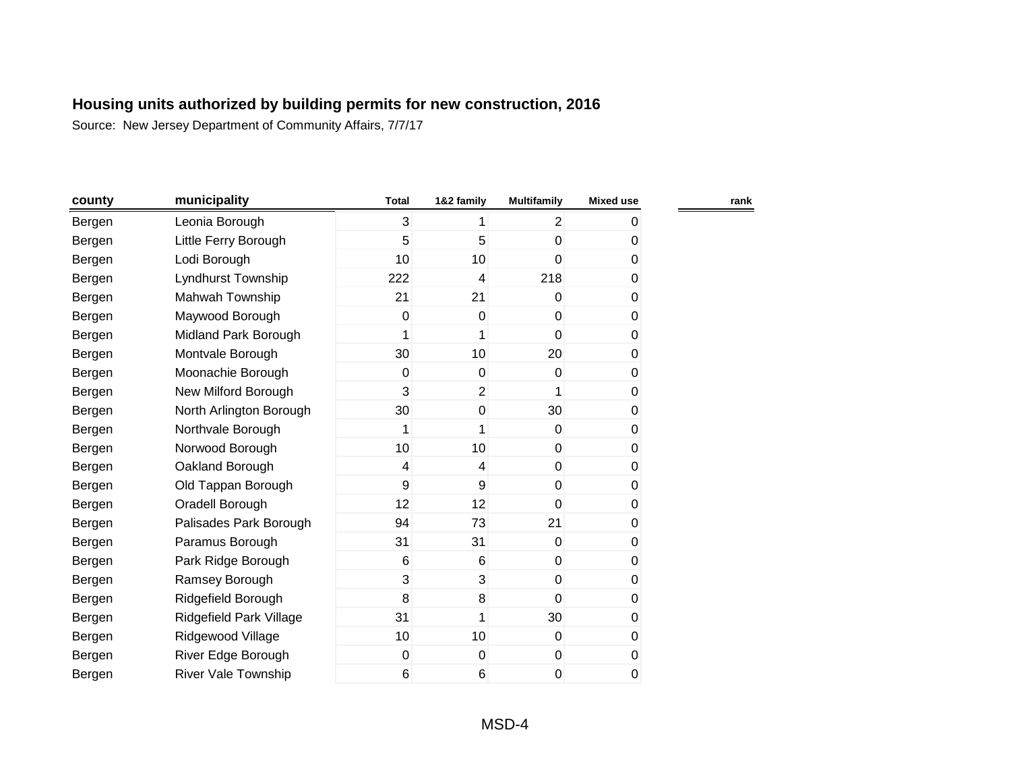| county | municipality               | <b>Total</b> | 1&2 family      | <b>Multifamily</b> | <b>Mixed use</b> |  |
|--------|----------------------------|--------------|-----------------|--------------------|------------------|--|
| Bergen | Leonia Borough             | 3            | 1               | $\overline{2}$     | 0                |  |
| Bergen | Little Ferry Borough       | 5            | 5               | $\mathbf 0$        | 0                |  |
| Bergen | Lodi Borough               | 10           | 10 <sup>1</sup> | $\mathbf 0$        | $\pmb{0}$        |  |
| Bergen | Lyndhurst Township         | 222          | 4               | 218                | 0                |  |
| Bergen | Mahwah Township            | 21           | 21              | $\overline{0}$     | $\pmb{0}$        |  |
| Bergen | Maywood Borough            | 0            | $\pmb{0}$       | $\overline{0}$     | 0                |  |
| Bergen | Midland Park Borough       | 1            | 1               | $\overline{0}$     | 0                |  |
| Bergen | Montvale Borough           | 30           | 10 <sup>°</sup> | 20                 | 0                |  |
| Bergen | Moonachie Borough          | 0            | $\mathbf 0$     | $\overline{0}$     | 0                |  |
| Bergen | New Milford Borough        | 3            | $\overline{2}$  | 1                  | 0                |  |
| Bergen | North Arlington Borough    | 30           | $\mathbf 0$     | 30                 | 0                |  |
| Bergen | Northvale Borough          | 1            | 1               | $\overline{0}$     | 0                |  |
| Bergen | Norwood Borough            | 10           | 10 <sup>1</sup> | $\overline{0}$     | 0                |  |
| Bergen | Oakland Borough            | 4            | 4               | $\overline{0}$     | 0                |  |
| Bergen | Old Tappan Borough         | 9            | 9               | $\overline{0}$     | 0                |  |
| Bergen | Oradell Borough            | 12           | 12              | $\mathbf{0}$       | 0                |  |
| Bergen | Palisades Park Borough     | 94           | 73              | 21                 | 0                |  |
| Bergen | Paramus Borough            | 31           | 31              | $\overline{0}$     | 0                |  |
| Bergen | Park Ridge Borough         | 6            | 6               | $\overline{0}$     | 0                |  |
| Bergen | Ramsey Borough             | 3            | 3               | $\overline{0}$     | 0                |  |
| Bergen | Ridgefield Borough         | 8            | 8               | $\overline{0}$     | 0                |  |
| Bergen | Ridgefield Park Village    | 31           | 1               | 30                 | 0                |  |
| Bergen | Ridgewood Village          | 10           | 10 <sup>1</sup> | $\overline{0}$     | $\pmb{0}$        |  |
| Bergen | River Edge Borough         | $\pmb{0}$    | $\mathbf 0$     | $\boldsymbol{0}$   | 0                |  |
| Bergen | <b>River Vale Township</b> | 6            | 6               | 0                  | 0                |  |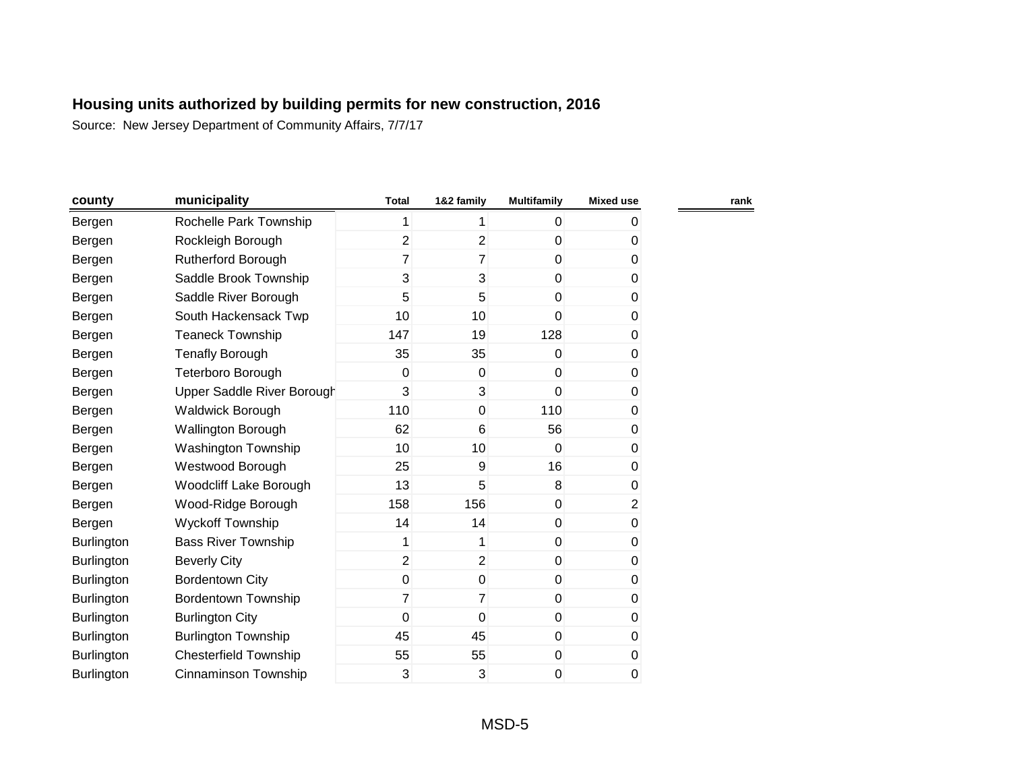| county            | municipality                  | <b>Total</b>   | 1&2 family     | <b>Multifamily</b> | <b>Mixed use</b> |
|-------------------|-------------------------------|----------------|----------------|--------------------|------------------|
| Bergen            | Rochelle Park Township        | 1              | 1              | 0                  | 0                |
| Bergen            | Rockleigh Borough             | $\overline{2}$ | $\overline{2}$ | 0                  | 0                |
| Bergen            | <b>Rutherford Borough</b>     | $\overline{7}$ | 7              | 0                  | 0                |
| Bergen            | Saddle Brook Township         | 3              | 3              | 0                  | 0                |
| Bergen            | Saddle River Borough          | 5              | 5              | 0                  | 0                |
| Bergen            | South Hackensack Twp          | 10             | 10             | 0                  | 0                |
| Bergen            | <b>Teaneck Township</b>       | 147            | 19             | 128                | 0                |
| Bergen            | <b>Tenafly Borough</b>        | 35             | 35             | 0                  | 0                |
| Bergen            | Teterboro Borough             | 0              | 0              | 0                  | 0                |
| Bergen            | Upper Saddle River Borough    | 3              | 3              | 0                  | 0                |
| Bergen            | Waldwick Borough              | 110            | $\mathbf 0$    | 110                | 0                |
| Bergen            | Wallington Borough            | 62             | 6              | 56                 | 0                |
| Bergen            | <b>Washington Township</b>    | 10             | 10             | $\Omega$           | 0                |
| Bergen            | Westwood Borough              | 25             | 9              | 16                 | 0                |
| Bergen            | <b>Woodcliff Lake Borough</b> | 13             | 5              | 8                  | 0                |
| Bergen            | Wood-Ridge Borough            | 158            | 156            | 0                  | $\overline{c}$   |
| Bergen            | <b>Wyckoff Township</b>       | 14             | 14             | 0                  | 0                |
| <b>Burlington</b> | <b>Bass River Township</b>    | 1              | 1              | 0                  | 0                |
| <b>Burlington</b> | <b>Beverly City</b>           | $\overline{2}$ | $\overline{2}$ | 0                  | 0                |
| Burlington        | Bordentown City               | $\pmb{0}$      | $\pmb{0}$      | $\mathbf 0$        | 0                |
| <b>Burlington</b> | <b>Bordentown Township</b>    | $\overline{7}$ | 7              | 0                  | 0                |
| <b>Burlington</b> | <b>Burlington City</b>        | 0              | $\mathbf 0$    | 0                  | 0                |
| Burlington        | <b>Burlington Township</b>    | 45             | 45             | 0                  | 0                |
| <b>Burlington</b> | <b>Chesterfield Township</b>  | 55             | 55             | 0                  | 0                |
| Burlington        | <b>Cinnaminson Township</b>   | 3              | 3              | 0                  | 0                |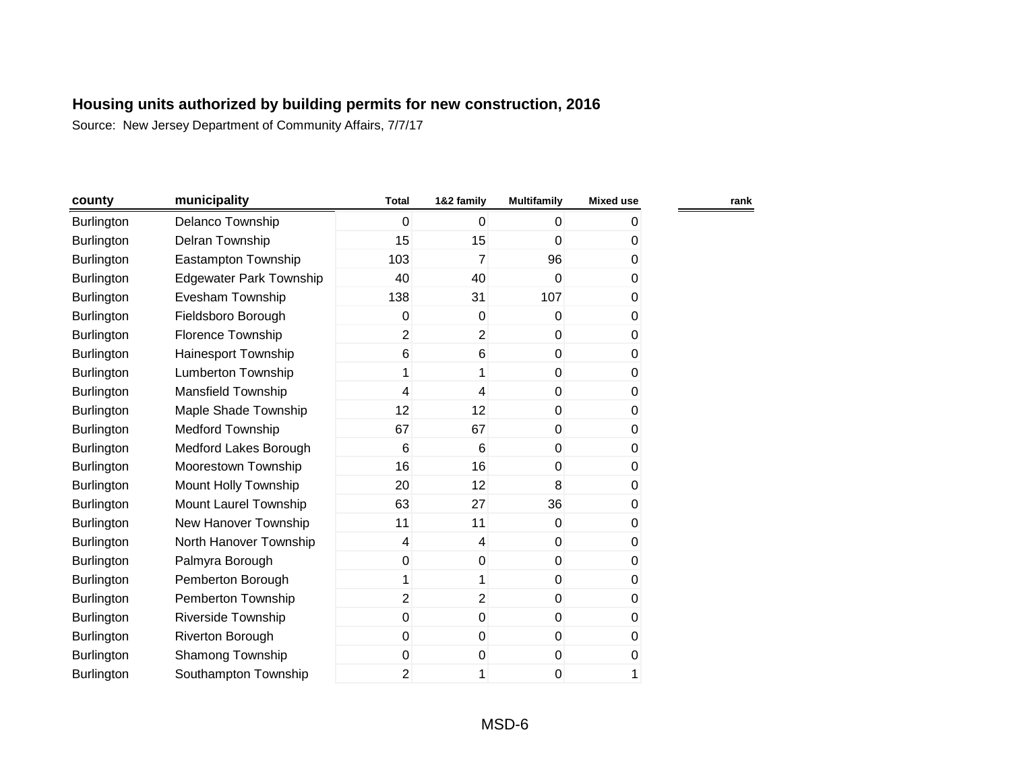| county            | municipality                   | <b>Total</b>            | 1&2 family              | <b>Multifamily</b> | <b>Mixed use</b> | rank |
|-------------------|--------------------------------|-------------------------|-------------------------|--------------------|------------------|------|
| <b>Burlington</b> | Delanco Township               | 0                       | 0                       | 0                  | 0                |      |
| <b>Burlington</b> | Delran Township                | 15                      | 15                      | 0                  | 0                |      |
| Burlington        | Eastampton Township            | 103                     | $\overline{7}$          | 96                 | 0                |      |
| <b>Burlington</b> | <b>Edgewater Park Township</b> | 40                      | 40                      | 0                  | 0                |      |
| Burlington        | Evesham Township               | 138                     | 31                      | 107                | 0                |      |
| <b>Burlington</b> | Fieldsboro Borough             | 0                       | 0                       | $\pmb{0}$          | 0                |      |
| Burlington        | Florence Township              | $\overline{2}$          | $\overline{2}$          | $\pmb{0}$          | 0                |      |
| Burlington        | Hainesport Township            | 6                       | 6                       | $\pmb{0}$          | 0                |      |
| <b>Burlington</b> | <b>Lumberton Township</b>      | 1                       | 1                       | $\pmb{0}$          | 0                |      |
| Burlington        | <b>Mansfield Township</b>      | 4                       | 4                       | $\pmb{0}$          | 0                |      |
| Burlington        | Maple Shade Township           | 12                      | 12                      | 0                  | 0                |      |
| <b>Burlington</b> | <b>Medford Township</b>        | 67                      | 67                      | $\pmb{0}$          | 0                |      |
| <b>Burlington</b> | Medford Lakes Borough          | 6                       | 6                       | $\mathbf 0$        | 0                |      |
| Burlington        | Moorestown Township            | 16                      | 16                      | $\pmb{0}$          | 0                |      |
| <b>Burlington</b> | Mount Holly Township           | 20                      | 12                      | 8                  | 0                |      |
| Burlington        | Mount Laurel Township          | 63                      | 27                      | 36                 | 0                |      |
| Burlington        | New Hanover Township           | 11                      | 11                      | 0                  | 0                |      |
| Burlington        | North Hanover Township         | $\overline{\mathbf{4}}$ | $\overline{\mathbf{4}}$ | $\pmb{0}$          | 0                |      |
| Burlington        | Palmyra Borough                | 0                       | 0                       | $\pmb{0}$          | 0                |      |
| <b>Burlington</b> | Pemberton Borough              | 1                       | 1                       | $\mathbf 0$        | 0                |      |
| Burlington        | Pemberton Township             | $\overline{2}$          | $\overline{2}$          | $\pmb{0}$          | 0                |      |
| Burlington        | <b>Riverside Township</b>      | 0                       | 0                       | $\mathbf 0$        | 0                |      |
| Burlington        | Riverton Borough               | 0                       | 0                       | $\pmb{0}$          | 0                |      |
| Burlington        | Shamong Township               | 0                       | 0                       | $\pmb{0}$          | 0                |      |
| Burlington        | Southampton Township           | $\overline{2}$          | 1                       | 0                  | 1                |      |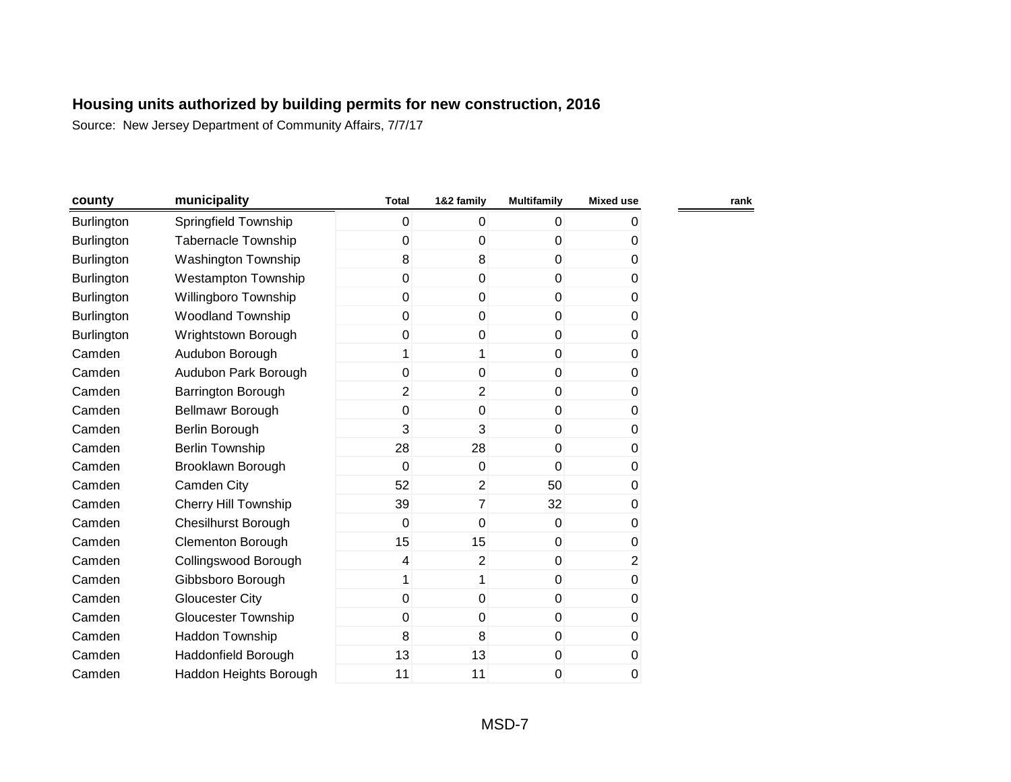| county            | municipality               | <b>Total</b>   | 1&2 family     | <b>Multifamily</b> | <b>Mixed use</b> |
|-------------------|----------------------------|----------------|----------------|--------------------|------------------|
| <b>Burlington</b> | Springfield Township       | 0              | $\mathbf{0}$   | $\overline{0}$     | 0                |
| <b>Burlington</b> | <b>Tabernacle Township</b> | 0              | $\mathbf 0$    | $\overline{0}$     | 0                |
| <b>Burlington</b> | Washington Township        | 8              | 8              | $\overline{0}$     | 0                |
| <b>Burlington</b> | <b>Westampton Township</b> | 0              | $\mathbf 0$    | $\overline{0}$     | 0                |
| Burlington        | Willingboro Township       | 0              | $\mathbf 0$    | $\overline{0}$     | 0                |
| <b>Burlington</b> | <b>Woodland Township</b>   | 0              | 0              | $\overline{0}$     | 0                |
| <b>Burlington</b> | Wrightstown Borough        | 0              | $\mathbf 0$    | $\overline{0}$     | 0                |
| Camden            | Audubon Borough            | 1              | 1              | $\overline{0}$     | 0                |
| Camden            | Audubon Park Borough       | 0              | 0              | $\overline{0}$     | 0                |
| Camden            | Barrington Borough         | $\overline{2}$ | $\overline{2}$ | $\overline{0}$     | 0                |
| Camden            | Bellmawr Borough           | 0              | $\mathbf 0$    | $\overline{0}$     | 0                |
| Camden            | Berlin Borough             | 3              | 3              | $\overline{0}$     | 0                |
| Camden            | <b>Berlin Township</b>     | 28             | 28             | $\overline{0}$     | 0                |
| Camden            | Brooklawn Borough          | 0              | $\mathbf 0$    | $\overline{0}$     | 0                |
| Camden            | Camden City                | 52             | $\overline{2}$ | 50                 | 0                |
| Camden            | Cherry Hill Township       | 39             | $\overline{7}$ | 32                 | 0                |
| Camden            | <b>Chesilhurst Borough</b> | 0              | $\mathbf 0$    | $\overline{0}$     | 0                |
| Camden            | <b>Clementon Borough</b>   | 15             | 15             | $\boldsymbol{0}$   | 0                |
| Camden            | Collingswood Borough       | 4              | 2              | $\overline{0}$     | 2                |
| Camden            | Gibbsboro Borough          | 1              | 1              | $\overline{0}$     | 0                |
| Camden            | <b>Gloucester City</b>     | 0              | $\mathbf 0$    | $\overline{0}$     | 0                |
| Camden            | <b>Gloucester Township</b> | 0              | $\mathbf 0$    | $\overline{0}$     | 0                |
| Camden            | Haddon Township            | 8              | 8              | $\overline{0}$     | 0                |
| Camden            | Haddonfield Borough        | 13             | 13             | $\boldsymbol{0}$   | 0                |
| Camden            | Haddon Heights Borough     | 11             | 11             | 0                  | 0                |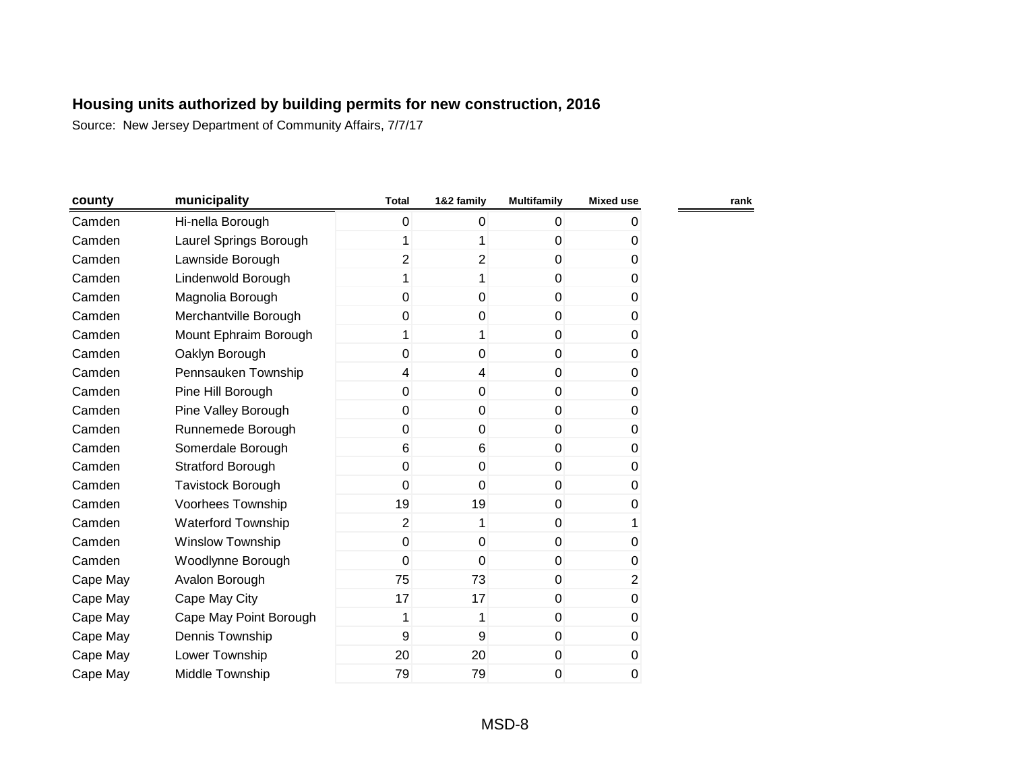| county   | municipality             | <b>Total</b>   | 1&2 family     | <b>Multifamily</b> | <b>Mixed use</b> |  |
|----------|--------------------------|----------------|----------------|--------------------|------------------|--|
| Camden   | Hi-nella Borough         | 0              | $\mathbf{0}$   | $\Omega$           | 0                |  |
| Camden   | Laurel Springs Borough   | 1              | 1              | $\overline{0}$     | 0                |  |
| Camden   | Lawnside Borough         | $\overline{2}$ | $\overline{2}$ | $\overline{0}$     | 0                |  |
| Camden   | Lindenwold Borough       | 1              | 1              | $\overline{0}$     | 0                |  |
| Camden   | Magnolia Borough         | 0              | 0              | $\overline{0}$     | 0                |  |
| Camden   | Merchantville Borough    | 0              | $\mathbf 0$    | $\overline{0}$     | 0                |  |
| Camden   | Mount Ephraim Borough    | 1              | 1              | $\overline{0}$     | 0                |  |
| Camden   | Oaklyn Borough           | 0              | $\mathbf 0$    | $\overline{0}$     | 0                |  |
| Camden   | Pennsauken Township      | 4              | $\overline{4}$ | $\overline{0}$     | 0                |  |
| Camden   | Pine Hill Borough        | 0              | 0              | $\overline{0}$     | 0                |  |
| Camden   | Pine Valley Borough      | 0              | $\mathbf 0$    | $\overline{0}$     | 0                |  |
| Camden   | Runnemede Borough        | 0              | $\mathbf 0$    | $\overline{0}$     | 0                |  |
| Camden   | Somerdale Borough        | 6              | 6              | $\overline{0}$     | 0                |  |
| Camden   | <b>Stratford Borough</b> | 0              | $\mathbf 0$    | $\overline{0}$     | 0                |  |
| Camden   | Tavistock Borough        | 0              | $\mathbf 0$    | $\overline{0}$     | 0                |  |
| Camden   | Voorhees Township        | 19             | 19             | $\overline{0}$     | 0                |  |
| Camden   | Waterford Township       | $\overline{2}$ | 1              | $\overline{0}$     | 1                |  |
| Camden   | <b>Winslow Township</b>  | 0              | $\mathbf{0}$   | $\overline{0}$     | 0                |  |
| Camden   | Woodlynne Borough        | 0              | $\mathbf 0$    | $\overline{0}$     | 0                |  |
| Cape May | Avalon Borough           | 75             | 73             | $\overline{0}$     | 2                |  |
| Cape May | Cape May City            | 17             | 17             | $\overline{0}$     | 0                |  |
| Cape May | Cape May Point Borough   | 1              | 1              | $\overline{0}$     | 0                |  |
| Cape May | Dennis Township          | 9              | 9              | $\overline{0}$     | 0                |  |
| Cape May | Lower Township           | 20             | 20             | $\overline{0}$     | 0                |  |
| Cape May | Middle Township          | 79             | 79             | 0                  | 0                |  |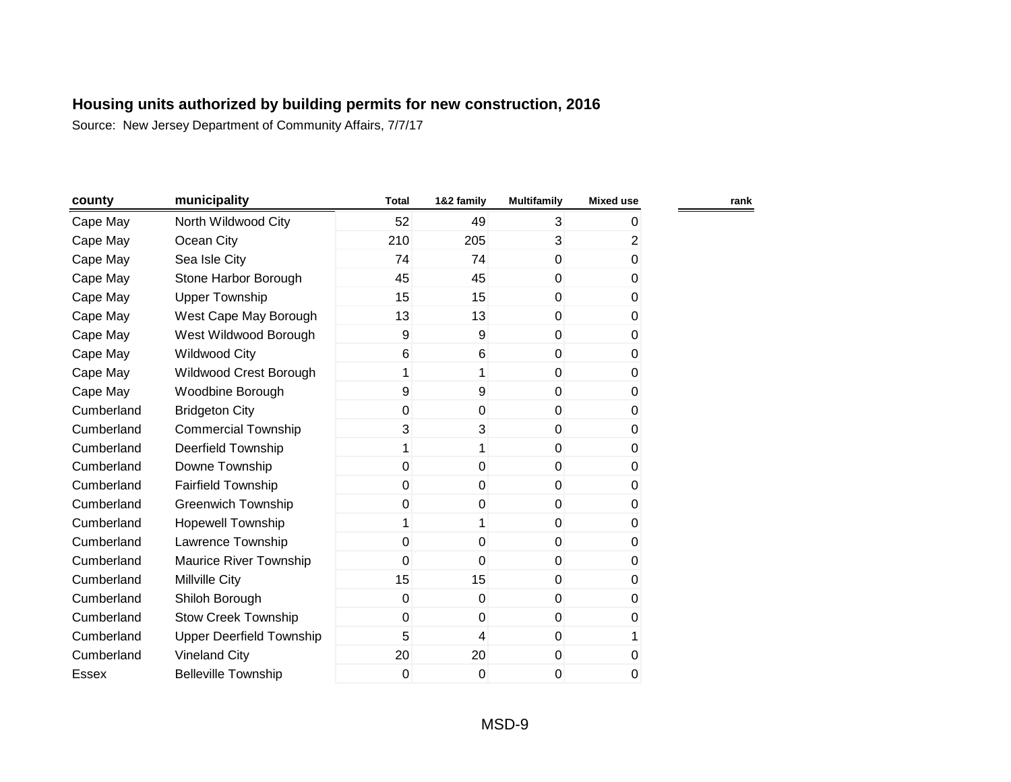| county     | municipality                    | <b>Total</b> | 1&2 family  | <b>Multifamily</b> | <b>Mixed use</b> |
|------------|---------------------------------|--------------|-------------|--------------------|------------------|
| Cape May   | North Wildwood City             | 52           | 49          | 3                  | 0                |
| Cape May   | Ocean City                      | 210          | 205         | 3                  | $\overline{2}$   |
| Cape May   | Sea Isle City                   | 74           | 74          | 0                  | 0                |
| Cape May   | Stone Harbor Borough            | 45           | 45          | 0                  | 0                |
| Cape May   | <b>Upper Township</b>           | 15           | 15          | 0                  | 0                |
| Cape May   | West Cape May Borough           | 13           | 13          | 0                  | 0                |
| Cape May   | West Wildwood Borough           | 9            | 9           | 0                  | 0                |
| Cape May   | <b>Wildwood City</b>            | 6            | 6           | 0                  | 0                |
| Cape May   | Wildwood Crest Borough          | 1            | 1           | 0                  | 0                |
| Cape May   | Woodbine Borough                | 9            | 9           | 0                  | 0                |
| Cumberland | <b>Bridgeton City</b>           | 0            | $\mathbf 0$ | 0                  | 0                |
| Cumberland | <b>Commercial Township</b>      | 3            | 3           | 0                  | 0                |
| Cumberland | Deerfield Township              | 1            | 1           | 0                  | 0                |
| Cumberland | Downe Township                  | 0            | 0           | 0                  | 0                |
| Cumberland | <b>Fairfield Township</b>       | 0            | 0           | 0                  | 0                |
| Cumberland | <b>Greenwich Township</b>       | 0            | 0           | 0                  | 0                |
| Cumberland | <b>Hopewell Township</b>        | 1            | 1           | 0                  | 0                |
| Cumberland | Lawrence Township               | 0            | 0           | 0                  | 0                |
| Cumberland | Maurice River Township          | 0            | 0           | 0                  | 0                |
| Cumberland | Millville City                  | 15           | 15          | 0                  | 0                |
| Cumberland | Shiloh Borough                  | 0            | $\mathbf 0$ | 0                  | 0                |
| Cumberland | <b>Stow Creek Township</b>      | 0            | 0           | 0                  | 0                |
| Cumberland | <b>Upper Deerfield Township</b> | 5            | 4           | 0                  |                  |
| Cumberland | <b>Vineland City</b>            | 20           | 20          | 0                  | 0                |
| Essex      | <b>Belleville Township</b>      | 0            | 0           | 0                  | 0                |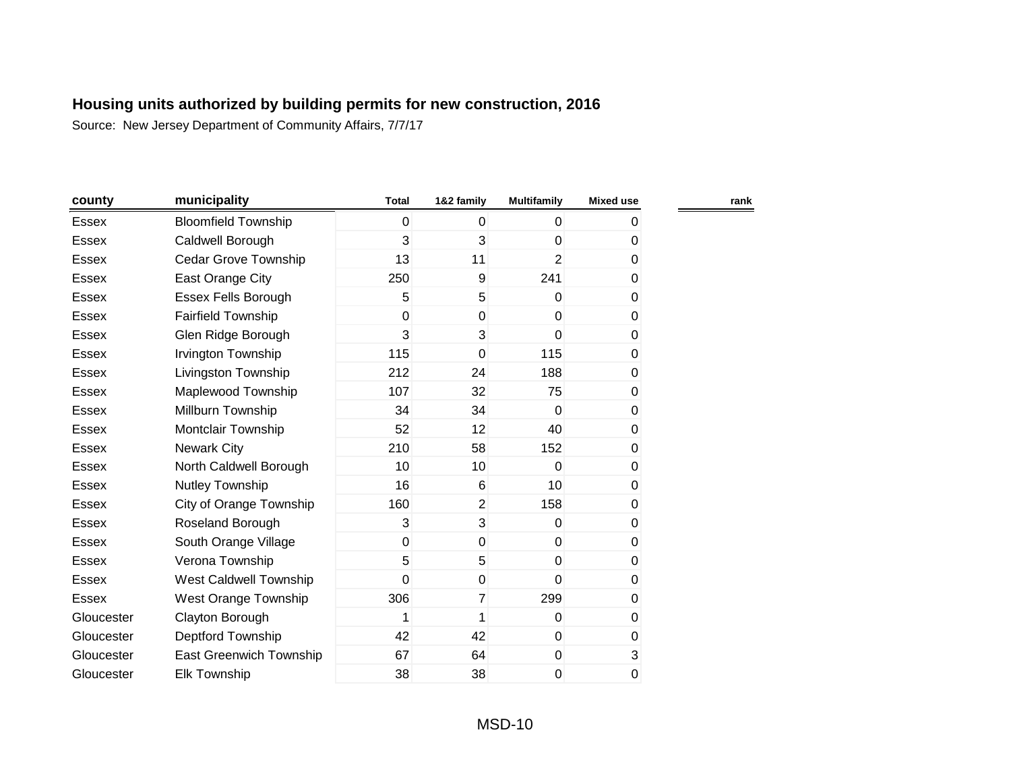| county       | municipality               | <b>Total</b> | 1&2 family      | <b>Multifamily</b> | <b>Mixed use</b> |
|--------------|----------------------------|--------------|-----------------|--------------------|------------------|
| <b>Essex</b> | <b>Bloomfield Township</b> | 0            | $\mathbf{0}$    | $\overline{0}$     | 0                |
| <b>Essex</b> | Caldwell Borough           | 3            | 3               | $\mathbf{0}$       | $\Omega$         |
| <b>Essex</b> | Cedar Grove Township       | 13           | 11              | $\overline{2}$     | 0                |
| <b>Essex</b> | East Orange City           | 250          | $\overline{9}$  | 241                | 0                |
| <b>Essex</b> | Essex Fells Borough        | 5            | 5               | $\mathbf{0}$       | $\mathbf 0$      |
| <b>Essex</b> | <b>Fairfield Township</b>  | $\mathbf 0$  | $\mathbf 0$     | $\mathbf{0}$       | 0                |
| <b>Essex</b> | Glen Ridge Borough         | 3            | 3               | $\overline{0}$     | 0                |
| <b>Essex</b> | Irvington Township         | 115          | $\mathbf 0$     | 115                | 0                |
| Essex        | Livingston Township        | 212          | 24              | 188                | 0                |
| <b>Essex</b> | Maplewood Township         | 107          | 32              | 75                 | 0                |
| <b>Essex</b> | Millburn Township          | 34           | 34              | $\Omega$           | 0                |
| <b>Essex</b> | Montclair Township         | 52           | 12              | 40                 | 0                |
| <b>Essex</b> | <b>Newark City</b>         | 210          | 58              | 152                | 0                |
| <b>Essex</b> | North Caldwell Borough     | 10           | 10 <sup>1</sup> | $\Omega$           | 0                |
| <b>Essex</b> | Nutley Township            | 16           | 6               | 10                 | 0                |
| Essex        | City of Orange Township    | 160          | $\overline{2}$  | 158                | 0                |
| Essex        | Roseland Borough           | 3            | 3               | $\Omega$           | 0                |
| <b>Essex</b> | South Orange Village       | $\mathbf 0$  | 0               | $\Omega$           | 0                |
| <b>Essex</b> | Verona Township            | 5            | 5               | $\mathbf 0$        | 0                |
| Essex        | West Caldwell Township     | 0            | $\mathbf 0$     | $\mathbf{0}$       | 0                |
| <b>Essex</b> | West Orange Township       | 306          | $\overline{7}$  | 299                | 0                |
| Gloucester   | Clayton Borough            | 1            | 1               | $\Omega$           | 0                |
| Gloucester   | Deptford Township          | 42           | 42              | $\mathbf 0$        | $\pmb{0}$        |
| Gloucester   | East Greenwich Township    | 67           | 64              | $\mathbf 0$        | $\mathbf{3}$     |
| Gloucester   | <b>Elk Township</b>        | 38           | 38              | 0                  | $\pmb{0}$        |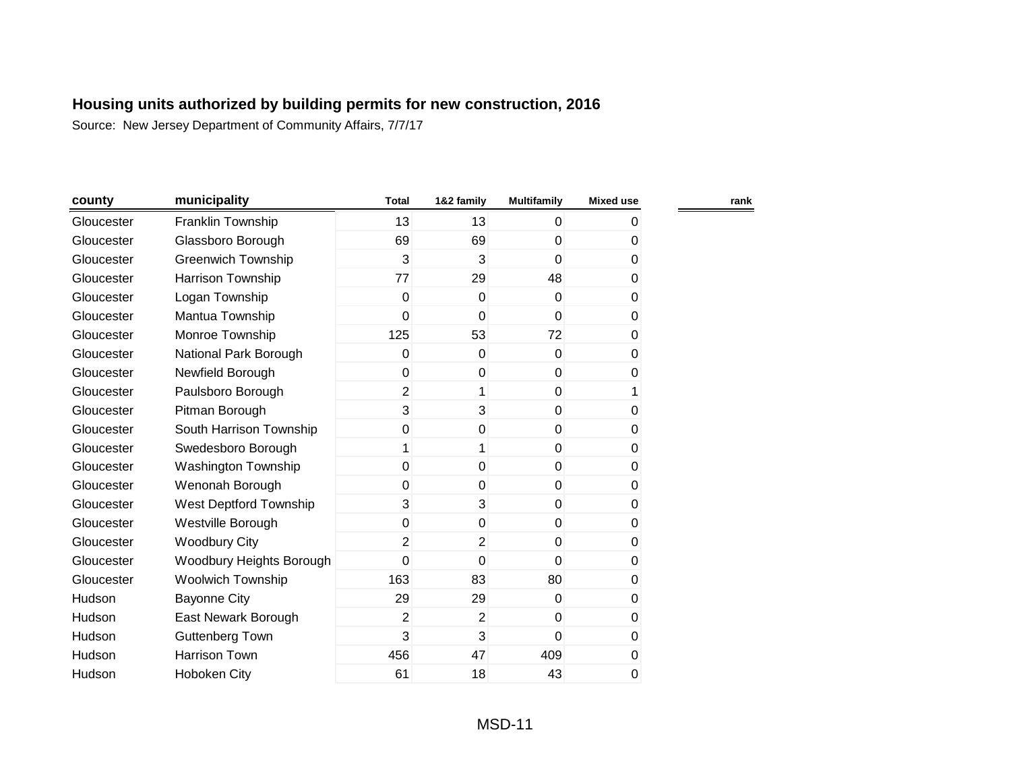| county     | municipality              | <b>Total</b>   | 1&2 family     | <b>Multifamily</b> | <b>Mixed use</b> | rank |
|------------|---------------------------|----------------|----------------|--------------------|------------------|------|
| Gloucester | Franklin Township         | 13             | 13             | $\mathbf 0$        | 0                |      |
| Gloucester | Glassboro Borough         | 69             | 69             | $\mathbf 0$        | 0                |      |
| Gloucester | <b>Greenwich Township</b> | 3              | $\overline{3}$ | $\overline{0}$     | 0                |      |
| Gloucester | <b>Harrison Township</b>  | 77             | 29             | 48                 | 0                |      |
| Gloucester | Logan Township            | $\mathbf 0$    | $\overline{0}$ | $\mathbf{0}$       | 0                |      |
| Gloucester | Mantua Township           | 0              | $\mathbf{0}$   | $\mathbf{0}$       | 0                |      |
| Gloucester | Monroe Township           | 125            | 53             | 72                 | 0                |      |
| Gloucester | National Park Borough     | 0              | 0              | $\mathbf 0$        | 0                |      |
| Gloucester | Newfield Borough          | 0              | 0              | $\mathbf 0$        | 0                |      |
| Gloucester | Paulsboro Borough         | $\overline{2}$ | 1              | $\mathbf 0$        | 1                |      |
| Gloucester | Pitman Borough            | 3              | 3              | $\mathbf{0}$       | 0                |      |
| Gloucester | South Harrison Township   | 0              | $\overline{0}$ | $\mathbf 0$        | 0                |      |
| Gloucester | Swedesboro Borough        | 1              | 1              | $\overline{0}$     | 0                |      |
| Gloucester | Washington Township       | 0              | $\overline{0}$ | $\mathbf 0$        | 0                |      |
| Gloucester | Wenonah Borough           | 0              | 0              | $\mathbf 0$        | 0                |      |
| Gloucester | West Deptford Township    | 3              | 3              | $\mathbf 0$        | 0                |      |
| Gloucester | Westville Borough         | 0              | 0              | $\mathbf 0$        | $\pmb{0}$        |      |
| Gloucester | <b>Woodbury City</b>      | $\overline{2}$ | $\overline{2}$ | $\mathbf 0$        | 0                |      |
| Gloucester | Woodbury Heights Borough  | 0              | 0              | $\mathbf 0$        | 0                |      |
| Gloucester | <b>Woolwich Township</b>  | 163            | 83             | 80                 | 0                |      |
| Hudson     | <b>Bayonne City</b>       | 29             | 29             | $\mathbf 0$        | 0                |      |
| Hudson     | East Newark Borough       | $\overline{2}$ | $\overline{2}$ | $\mathbf 0$        | 0                |      |
| Hudson     | <b>Guttenberg Town</b>    | 3              | $\overline{3}$ | 0                  | 0                |      |
| Hudson     | Harrison Town             | 456            | 47             | 409                | 0                |      |
| Hudson     | Hoboken City              | 61             | 18             | 43                 | 0                |      |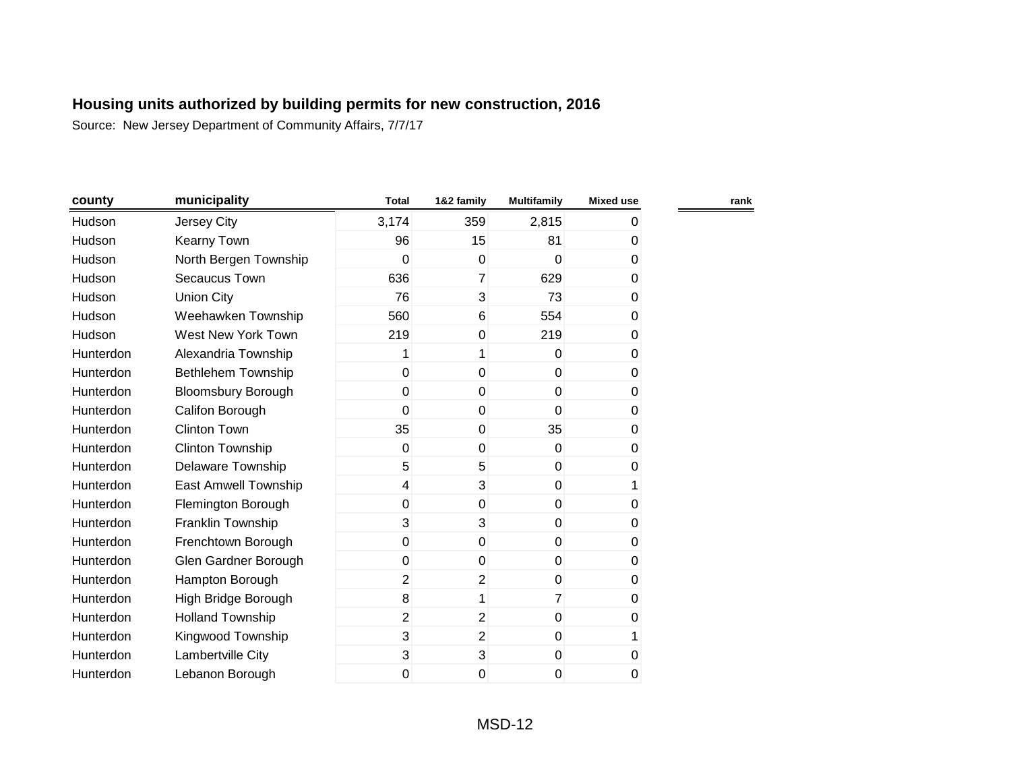| county    | municipality              | <b>Total</b>   | 1&2 family     | <b>Multifamily</b> | <b>Mixed use</b> | rank |
|-----------|---------------------------|----------------|----------------|--------------------|------------------|------|
| Hudson    | Jersey City               | 3,174          | 359            | 2,815              | 0                |      |
| Hudson    | <b>Kearny Town</b>        | 96             | 15             | 81                 | 0                |      |
| Hudson    | North Bergen Township     | 0              | $\mathbf 0$    | $\mathbf 0$        | 0                |      |
| Hudson    | Secaucus Town             | 636            | $\overline{7}$ | 629                | 0                |      |
| Hudson    | <b>Union City</b>         | 76             | 3              | 73                 | 0                |      |
| Hudson    | Weehawken Township        | 560            | 6              | 554                | 0                |      |
| Hudson    | West New York Town        | 219            | $\mathbf 0$    | 219                | 0                |      |
| Hunterdon | Alexandria Township       | 1              | 1              | $\Omega$           | 0                |      |
| Hunterdon | Bethlehem Township        | $\overline{0}$ | 0              | $\mathbf 0$        | 0                |      |
| Hunterdon | <b>Bloomsbury Borough</b> | $\mathbf 0$    | $\mathbf 0$    | $\mathbf 0$        | 0                |      |
| Hunterdon | Califon Borough           | 0              | $\mathbf 0$    | 0                  | 0                |      |
| Hunterdon | <b>Clinton Town</b>       | 35             | 0              | 35                 | 0                |      |
| Hunterdon | <b>Clinton Township</b>   | 0              | $\mathbf 0$    | $\mathbf 0$        | 0                |      |
| Hunterdon | <b>Delaware Township</b>  | 5              | 5              | $\mathbf 0$        | 0                |      |
| Hunterdon | East Amwell Township      | 4              | 3              | $\mathbf 0$        | 1                |      |
| Hunterdon | Flemington Borough        | $\overline{0}$ | $\mathbf 0$    | $\mathbf 0$        | 0                |      |
| Hunterdon | Franklin Township         | 3              | 3              | $\mathbf 0$        | 0                |      |
| Hunterdon | Frenchtown Borough        | $\overline{0}$ | $\mathbf 0$    | $\mathbf 0$        | 0                |      |
| Hunterdon | Glen Gardner Borough      | $\overline{0}$ | $\mathbf 0$    | $\mathbf 0$        | 0                |      |
| Hunterdon | Hampton Borough           | $\overline{2}$ | $\overline{2}$ | $\mathbf 0$        | 0                |      |
| Hunterdon | High Bridge Borough       | 8              | 1              | $\overline{7}$     | 0                |      |
| Hunterdon | <b>Holland Township</b>   | $\overline{2}$ | $\overline{2}$ | $\mathbf 0$        | 0                |      |
| Hunterdon | Kingwood Township         | 3              | $\overline{2}$ | $\mathbf 0$        | 1                |      |
| Hunterdon | Lambertville City         | 3              | 3              | $\pmb{0}$          | $\pmb{0}$        |      |
| Hunterdon | Lebanon Borough           | 0              | 0              | 0                  | $\pmb{0}$        |      |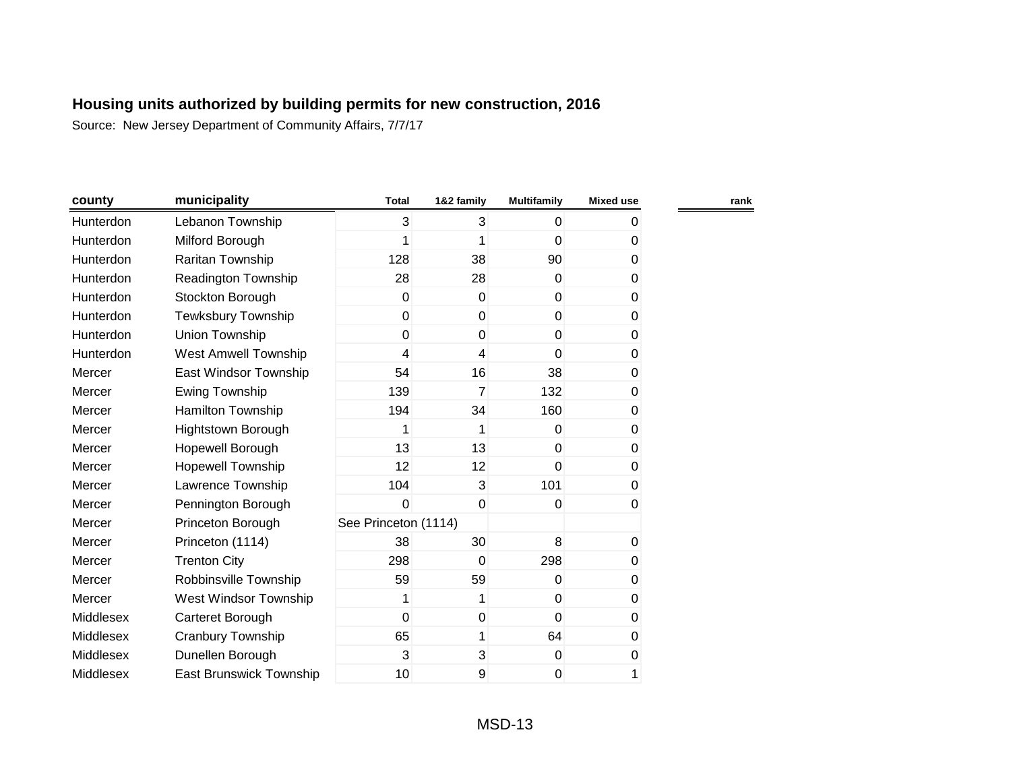| county    | municipality               | <b>Total</b>         | 1&2 family  | <b>Multifamily</b> | <b>Mixed use</b> | rank |
|-----------|----------------------------|----------------------|-------------|--------------------|------------------|------|
| Hunterdon | Lebanon Township           | 3                    | 3           | $\mathbf 0$        | 0                |      |
| Hunterdon | Milford Borough            | 1                    |             | 0                  | 0                |      |
| Hunterdon | Raritan Township           | 128                  | 38          | 90                 | 0                |      |
| Hunterdon | <b>Readington Township</b> | 28                   | 28          | $\mathbf{0}$       | 0                |      |
| Hunterdon | Stockton Borough           | 0                    | $\mathbf 0$ | $\mathbf 0$        | 0                |      |
| Hunterdon | <b>Tewksbury Township</b>  | 0                    | $\mathbf 0$ | $\mathbf 0$        | 0                |      |
| Hunterdon | Union Township             | 0                    | $\mathbf 0$ | $\mathbf 0$        | 0                |      |
| Hunterdon | West Amwell Township       | 4                    | 4           | $\mathbf{0}$       | 0                |      |
| Mercer    | East Windsor Township      | 54                   | 16          | 38                 | 0                |      |
| Mercer    | Ewing Township             | 139                  | 7           | 132                | 0                |      |
| Mercer    | Hamilton Township          | 194                  | 34          | 160                | 0                |      |
| Mercer    | Hightstown Borough         | 1                    | 1           | 0                  | 0                |      |
| Mercer    | Hopewell Borough           | 13                   | 13          | $\mathbf{0}$       | 0                |      |
| Mercer    | Hopewell Township          | 12                   | 12          | $\Omega$           | 0                |      |
| Mercer    | Lawrence Township          | 104                  | 3           | 101                | 0                |      |
| Mercer    | Pennington Borough         | 0                    | $\mathbf 0$ | $\mathbf 0$        | 0                |      |
| Mercer    | Princeton Borough          | See Princeton (1114) |             |                    |                  |      |
| Mercer    | Princeton (1114)           | 38                   | 30          | 8                  | $\boldsymbol{0}$ |      |
| Mercer    | <b>Trenton City</b>        | 298                  | $\mathbf 0$ | 298                | 0                |      |
| Mercer    | Robbinsville Township      | 59                   | 59          | $\mathbf 0$        | 0                |      |
| Mercer    | West Windsor Township      | 1                    | 1           | $\mathbf 0$        | 0                |      |
| Middlesex | Carteret Borough           | 0                    | $\mathbf 0$ | $\overline{0}$     | 0                |      |
| Middlesex | Cranbury Township          | 65                   | 1           | 64                 | 0                |      |
| Middlesex | Dunellen Borough           | 3                    | 3           | $\mathbf 0$        | 0                |      |
| Middlesex | East Brunswick Township    | 10                   | 9           | 0                  | 1                |      |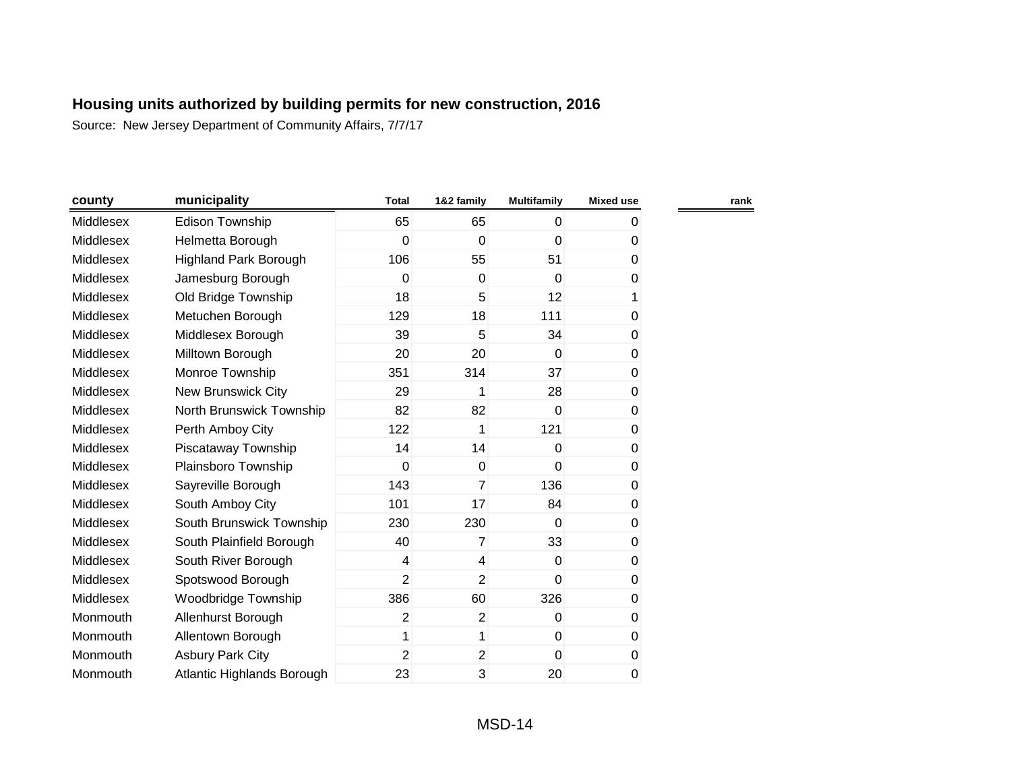| county    | municipality                 | <b>Total</b>   | 1&2 family     | <b>Multifamily</b> | <b>Mixed use</b> | rank |
|-----------|------------------------------|----------------|----------------|--------------------|------------------|------|
| Middlesex | Edison Township              | 65             | 65             | $\mathbf 0$        | 0                |      |
| Middlesex | Helmetta Borough             | 0              | 0              | 0                  | 0                |      |
| Middlesex | <b>Highland Park Borough</b> | 106            | 55             | 51                 | 0                |      |
| Middlesex | Jamesburg Borough            | 0              | 0              | $\mathbf 0$        | 0                |      |
| Middlesex | Old Bridge Township          | 18             | 5              | 12                 | 1                |      |
| Middlesex | Metuchen Borough             | 129            | 18             | 111                | 0                |      |
| Middlesex | Middlesex Borough            | 39             | 5              | 34                 | $\,0\,$          |      |
| Middlesex | Milltown Borough             | 20             | 20             | $\Omega$           | $\pmb{0}$        |      |
| Middlesex | Monroe Township              | 351            | 314            | 37                 | 0                |      |
| Middlesex | New Brunswick City           | 29             | 1              | 28                 | $\pmb{0}$        |      |
| Middlesex | North Brunswick Township     | 82             | 82             | $\mathbf 0$        | 0                |      |
| Middlesex | Perth Amboy City             | 122            | 1              | 121                | 0                |      |
| Middlesex | Piscataway Township          | 14             | 14             | 0                  | 0                |      |
| Middlesex | Plainsboro Township          | 0              | $\Omega$       | 0                  | 0                |      |
| Middlesex | Sayreville Borough           | 143            | $\overline{7}$ | 136                | $\pmb{0}$        |      |
| Middlesex | South Amboy City             | 101            | 17             | 84                 | 0                |      |
| Middlesex | South Brunswick Township     | 230            | 230            | $\mathbf 0$        | $\pmb{0}$        |      |
| Middlesex | South Plainfield Borough     | 40             | $\overline{7}$ | 33                 | $\pmb{0}$        |      |
| Middlesex | South River Borough          | 4              | $\overline{4}$ | 0                  | 0                |      |
| Middlesex | Spotswood Borough            | $\overline{2}$ | $\overline{2}$ | $\overline{0}$     | 0                |      |
| Middlesex | Woodbridge Township          | 386            | 60             | 326                | 0                |      |
| Monmouth  | Allenhurst Borough           | $\overline{2}$ | $\overline{2}$ | 0                  | 0                |      |
| Monmouth  | Allentown Borough            | 1              | 1              | $\mathbf 0$        | 0                |      |
| Monmouth  | <b>Asbury Park City</b>      | $\overline{2}$ | $\overline{2}$ | $\mathbf{0}$       | $\pmb{0}$        |      |
| Monmouth  | Atlantic Highlands Borough   | 23             | 3              | 20                 | 0                |      |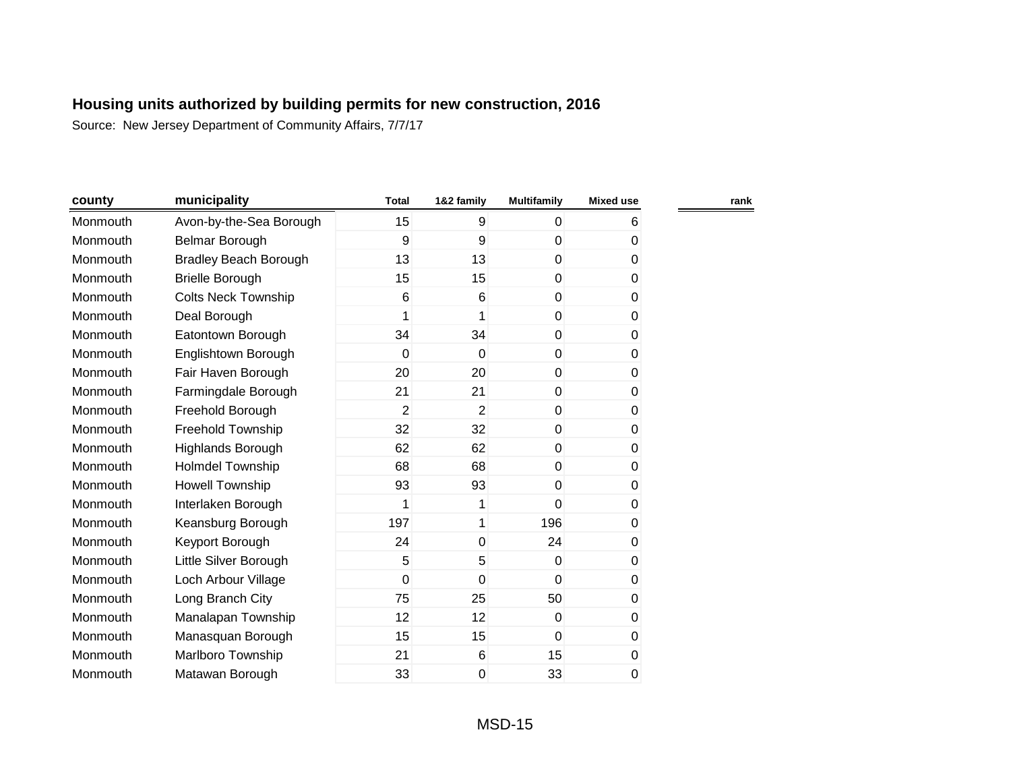| county   | municipality                 | <b>Total</b>   | 1&2 family     | <b>Multifamily</b> | <b>Mixed use</b> |  |
|----------|------------------------------|----------------|----------------|--------------------|------------------|--|
| Monmouth | Avon-by-the-Sea Borough      | 15             | 9              | 0                  | 6                |  |
| Monmouth | Belmar Borough               | 9              | 9              | $\mathbf 0$        | 0                |  |
| Monmouth | <b>Bradley Beach Borough</b> | 13             | 13             | $\mathbf 0$        | 0                |  |
| Monmouth | <b>Brielle Borough</b>       | 15             | 15             | $\mathbf 0$        | 0                |  |
| Monmouth | <b>Colts Neck Township</b>   | 6              | 6              | 0                  | 0                |  |
| Monmouth | Deal Borough                 | 1              | 1              | 0                  | 0                |  |
| Monmouth | Eatontown Borough            | 34             | 34             | $\mathbf 0$        | 0                |  |
| Monmouth | Englishtown Borough          | 0              | $\mathbf 0$    | $\mathbf 0$        | 0                |  |
| Monmouth | Fair Haven Borough           | 20             | 20             | $\mathbf 0$        | 0                |  |
| Monmouth | Farmingdale Borough          | 21             | 21             | $\mathbf 0$        | 0                |  |
| Monmouth | Freehold Borough             | $\overline{c}$ | $\overline{2}$ | $\mathbf 0$        | 0                |  |
| Monmouth | Freehold Township            | 32             | 32             | $\mathbf 0$        | 0                |  |
| Monmouth | <b>Highlands Borough</b>     | 62             | 62             | $\mathbf 0$        | 0                |  |
| Monmouth | Holmdel Township             | 68             | 68             | $\Omega$           | 0                |  |
| Monmouth | Howell Township              | 93             | 93             | 0                  | 0                |  |
| Monmouth | Interlaken Borough           | 1              | 1              | 0                  | 0                |  |
| Monmouth | Keansburg Borough            | 197            | 1              | 196                | 0                |  |
| Monmouth | Keyport Borough              | 24             | $\mathbf 0$    | 24                 | 0                |  |
| Monmouth | Little Silver Borough        | 5              | 5              | 0                  | 0                |  |
| Monmouth | Loch Arbour Village          | 0              | $\overline{0}$ | $\Omega$           | 0                |  |
| Monmouth | Long Branch City             | 75             | 25             | 50                 | 0                |  |
| Monmouth | Manalapan Township           | 12             | 12             | 0                  | 0                |  |
| Monmouth | Manasquan Borough            | 15             | 15             | $\Omega$           | 0                |  |
| Monmouth | Marlboro Township            | 21             | 6              | 15                 | $\pmb{0}$        |  |
| Monmouth | Matawan Borough              | 33             | 0              | 33                 | 0                |  |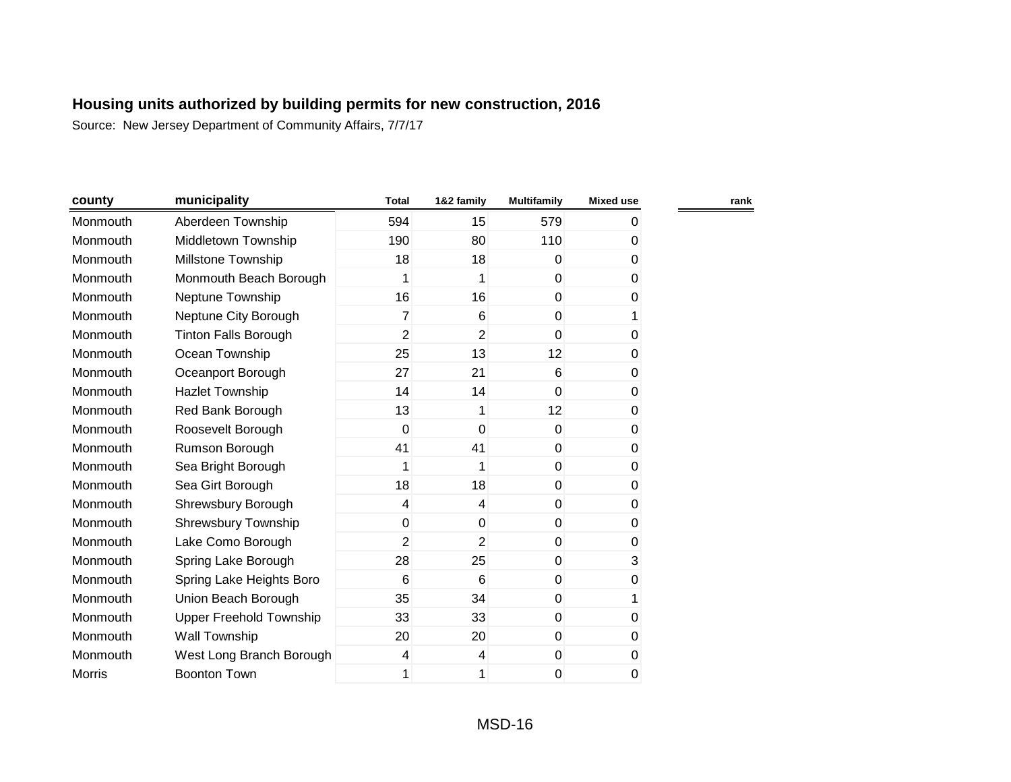| county        | municipality                | <b>Total</b>   | 1&2 family     | <b>Multifamily</b> | <b>Mixed use</b> | rank |
|---------------|-----------------------------|----------------|----------------|--------------------|------------------|------|
| Monmouth      | Aberdeen Township           | 594            | 15             | 579                | 0                |      |
| Monmouth      | Middletown Township         | 190            | 80             | 110                | 0                |      |
| Monmouth      | <b>Millstone Township</b>   | 18             | 18             | $\mathbf{0}$       | 0                |      |
| Monmouth      | Monmouth Beach Borough      | 1              | 1              | $\overline{0}$     | 0                |      |
| Monmouth      | Neptune Township            | 16             | 16             | $\mathbf 0$        | 0                |      |
| Monmouth      | Neptune City Borough        | 7              | 6              | $\mathbf 0$        | 1                |      |
| Monmouth      | <b>Tinton Falls Borough</b> | $\overline{2}$ | $\overline{2}$ | $\overline{0}$     | 0                |      |
| Monmouth      | Ocean Township              | 25             | 13             | 12                 | 0                |      |
| Monmouth      | Oceanport Borough           | 27             | 21             | 6                  | 0                |      |
| Monmouth      | <b>Hazlet Township</b>      | 14             | 14             | $\mathbf 0$        | 0                |      |
| Monmouth      | Red Bank Borough            | 13             | 1              | 12                 | 0                |      |
| Monmouth      | Roosevelt Borough           | 0              | $\mathbf 0$    | $\mathbf 0$        | 0                |      |
| Monmouth      | Rumson Borough              | 41             | 41             | $\mathbf 0$        | 0                |      |
| Monmouth      | Sea Bright Borough          | 1              | 1              | $\mathbf 0$        | 0                |      |
| Monmouth      | Sea Girt Borough            | 18             | 18             | $\mathbf 0$        | 0                |      |
| Monmouth      | Shrewsbury Borough          | 4              | $\overline{4}$ | $\pmb{0}$          | 0                |      |
| Monmouth      | <b>Shrewsbury Township</b>  | 0              | $\mathbf 0$    | $\mathbf 0$        | 0                |      |
| Monmouth      | Lake Como Borough           | $\overline{2}$ | $\overline{2}$ | $\pmb{0}$          | 0                |      |
| Monmouth      | Spring Lake Borough         | 28             | 25             | $\pmb{0}$          | 3                |      |
| Monmouth      | Spring Lake Heights Boro    | 6              | 6              | $\pmb{0}$          | 0                |      |
| Monmouth      | Union Beach Borough         | 35             | 34             | $\mathbf 0$        | 1                |      |
| Monmouth      | Upper Freehold Township     | 33             | 33             | $\mathbf 0$        | 0                |      |
| Monmouth      | Wall Township               | 20             | 20             | $\mathbf 0$        | 0                |      |
| Monmouth      | West Long Branch Borough    | 4              | 4              | $\mathbf 0$        | 0                |      |
| <b>Morris</b> | <b>Boonton Town</b>         | 1              | 1              | 0                  | 0                |      |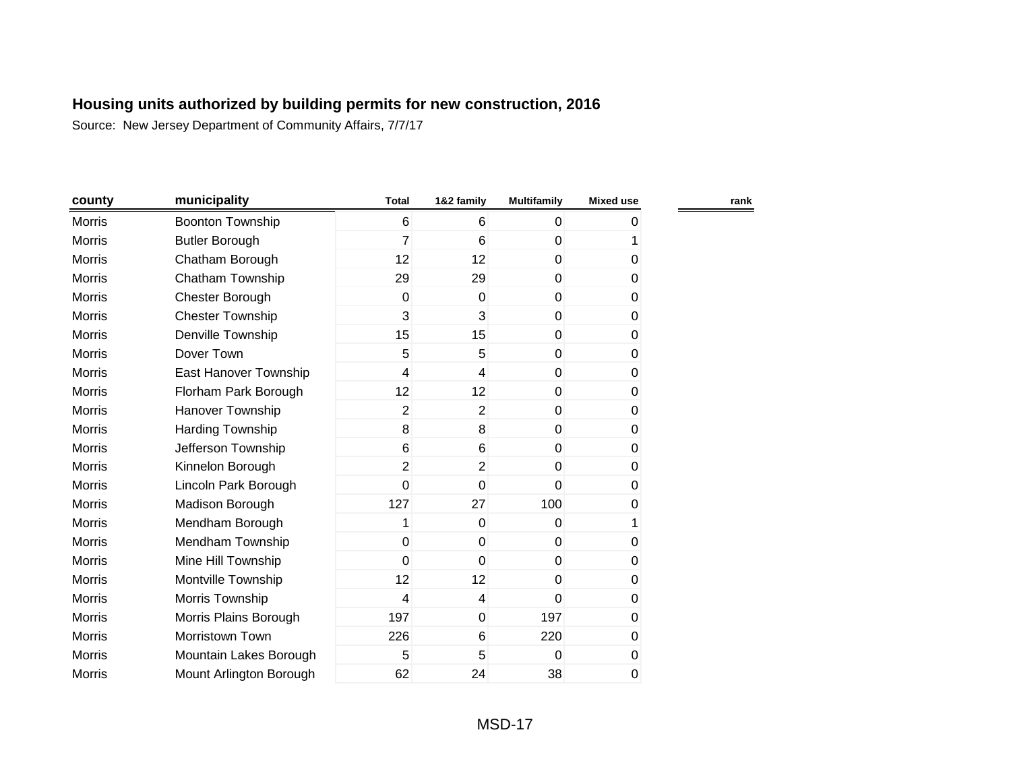| county        | municipality            | <b>Total</b>    | 1&2 family               | <b>Multifamily</b> | <b>Mixed use</b> |
|---------------|-------------------------|-----------------|--------------------------|--------------------|------------------|
| <b>Morris</b> | <b>Boonton Township</b> | $6\phantom{1}6$ | 6                        | 0                  | 0                |
| <b>Morris</b> | <b>Butler Borough</b>   | $\overline{7}$  | 6                        | 0                  | 1                |
| Morris        | Chatham Borough         | 12              | 12                       | 0                  | $\pmb{0}$        |
| Morris        | Chatham Township        | 29              | 29                       | 0                  | $\pmb{0}$        |
| <b>Morris</b> | Chester Borough         | 0               | $\mathbf 0$              | 0                  | 0                |
| <b>Morris</b> | <b>Chester Township</b> | 3               | 3                        | $\Omega$           | 0                |
| <b>Morris</b> | Denville Township       | 15              | 15                       | $\mathbf 0$        | 0                |
| <b>Morris</b> | Dover Town              | 5               | 5                        | $\mathbf 0$        | 0                |
| <b>Morris</b> | East Hanover Township   | 4               | $\overline{\mathcal{A}}$ | $\mathbf 0$        | 0                |
| Morris        | Florham Park Borough    | 12              | 12                       | $\mathbf 0$        | 0                |
| <b>Morris</b> | Hanover Township        | 2               | $\overline{2}$           | $\Omega$           | 0                |
| <b>Morris</b> | Harding Township        | 8               | 8                        | $\mathbf 0$        | 0                |
| <b>Morris</b> | Jefferson Township      | 6               | $6\phantom{1}$           | $\Omega$           | 0                |
| <b>Morris</b> | Kinnelon Borough        | $\overline{2}$  | $\overline{2}$           | $\Omega$           | 0                |
| <b>Morris</b> | Lincoln Park Borough    | 0               | $\mathbf 0$              | $\Omega$           | 0                |
| Morris        | Madison Borough         | 127             | 27                       | 100                | 0                |
| Morris        | Mendham Borough         | 1               | $\mathbf 0$              | 0                  | 1                |
| <b>Morris</b> | Mendham Township        | $\mathbf 0$     | $\mathbf 0$              | $\mathbf 0$        | 0                |
| <b>Morris</b> | Mine Hill Township      | 0               | $\mathbf 0$              | 0                  | 0                |
| <b>Morris</b> | Montville Township      | 12              | 12                       | 0                  | 0                |
| <b>Morris</b> | Morris Township         | 4               | 4                        | $\mathbf 0$        | 0                |
| <b>Morris</b> | Morris Plains Borough   | 197             | $\mathbf 0$              | 197                | $\mathbf 0$      |
| <b>Morris</b> | Morristown Town         | 226             | $6\phantom{1}$           | 220                | 0                |
| Morris        | Mountain Lakes Borough  | 5               | 5                        | $\Omega$           | 0                |
| <b>Morris</b> | Mount Arlington Borough | 62              | 24                       | 38                 | 0                |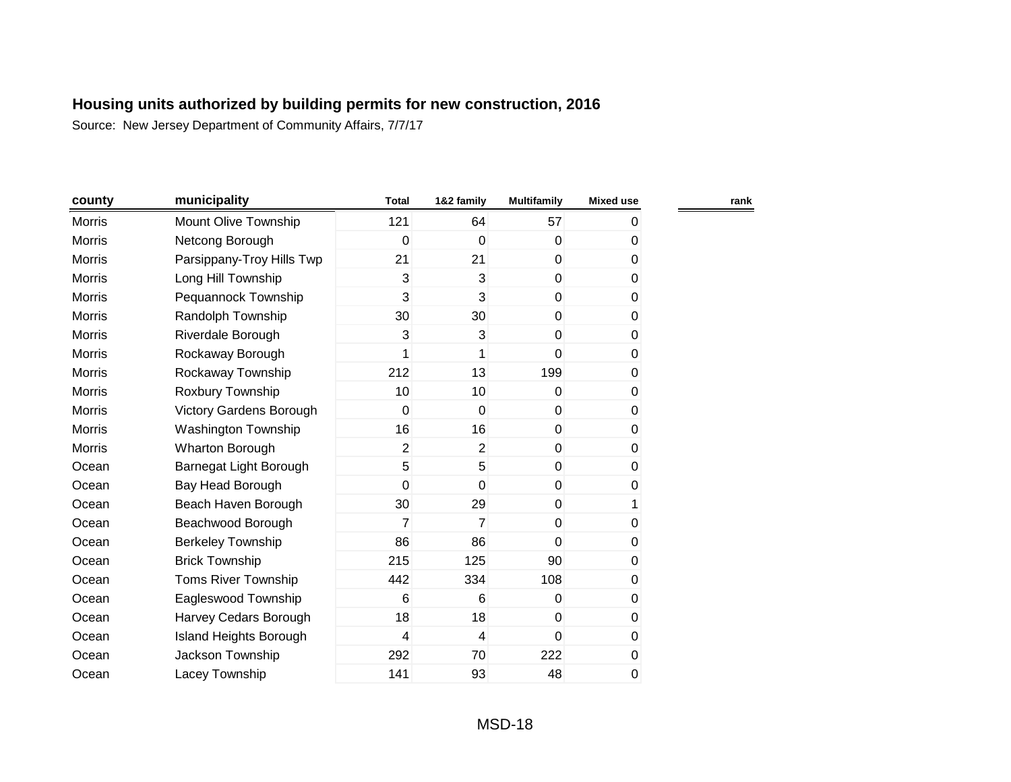| county        | municipality                   | <b>Total</b>   | 1&2 family      | <b>Multifamily</b> | <b>Mixed use</b> | rank |
|---------------|--------------------------------|----------------|-----------------|--------------------|------------------|------|
| <b>Morris</b> | Mount Olive Township           | 121            | 64              | 57                 | 0                |      |
| <b>Morris</b> | Netcong Borough                | 0              | 0               | $\mathbf 0$        | 0                |      |
| <b>Morris</b> | Parsippany-Troy Hills Twp      | 21             | 21              | $\overline{0}$     | 0                |      |
| <b>Morris</b> | Long Hill Township             | 3              | 3               | $\overline{0}$     | $\pmb{0}$        |      |
| <b>Morris</b> | Pequannock Township            | 3              | 3               | $\overline{0}$     | $\pmb{0}$        |      |
| Morris        | Randolph Township              | 30             | 30              | $\overline{0}$     | 0                |      |
| <b>Morris</b> | Riverdale Borough              | 3              | 3               | $\overline{0}$     | 0                |      |
| <b>Morris</b> | Rockaway Borough               | 1              | 1               | $\mathbf 0$        | 0                |      |
| <b>Morris</b> | Rockaway Township              | 212            | 13              | 199                | 0                |      |
| <b>Morris</b> | Roxbury Township               | 10             | 10 <sup>°</sup> | $\overline{0}$     | 0                |      |
| <b>Morris</b> | <b>Victory Gardens Borough</b> | 0              | $\mathbf 0$     | $\mathbf{0}$       | 0                |      |
| <b>Morris</b> | Washington Township            | 16             | 16              | $\overline{0}$     | 0                |      |
| <b>Morris</b> | Wharton Borough                | $\overline{2}$ | $\overline{2}$  | $\overline{0}$     | 0                |      |
| Ocean         | Barnegat Light Borough         | 5              | 5               | $\overline{0}$     | 0                |      |
| Ocean         | Bay Head Borough               | 0              | $\mathbf 0$     | $\overline{0}$     | 0                |      |
| Ocean         | Beach Haven Borough            | 30             | 29              | $\overline{0}$     | 1                |      |
| Ocean         | Beachwood Borough              | 7              | $\overline{7}$  | $\overline{0}$     | 0                |      |
| Ocean         | Berkeley Township              | 86             | 86              | $\mathbf{0}$       | 0                |      |
| Ocean         | <b>Brick Township</b>          | 215            | 125             | 90                 | 0                |      |
| Ocean         | <b>Toms River Township</b>     | 442            | 334             | 108                | 0                |      |
| Ocean         | Eagleswood Township            | 6              | 6               | 0                  | 0                |      |
| Ocean         | Harvey Cedars Borough          | 18             | 18              | $\mathbf 0$        | $\pmb{0}$        |      |
| Ocean         | Island Heights Borough         | 4              | 4               | $\mathbf{0}$       | $\pmb{0}$        |      |
| Ocean         | Jackson Township               | 292            | 70              | 222                | 0                |      |
| Ocean         | Lacey Township                 | 141            | 93              | 48                 | 0                |      |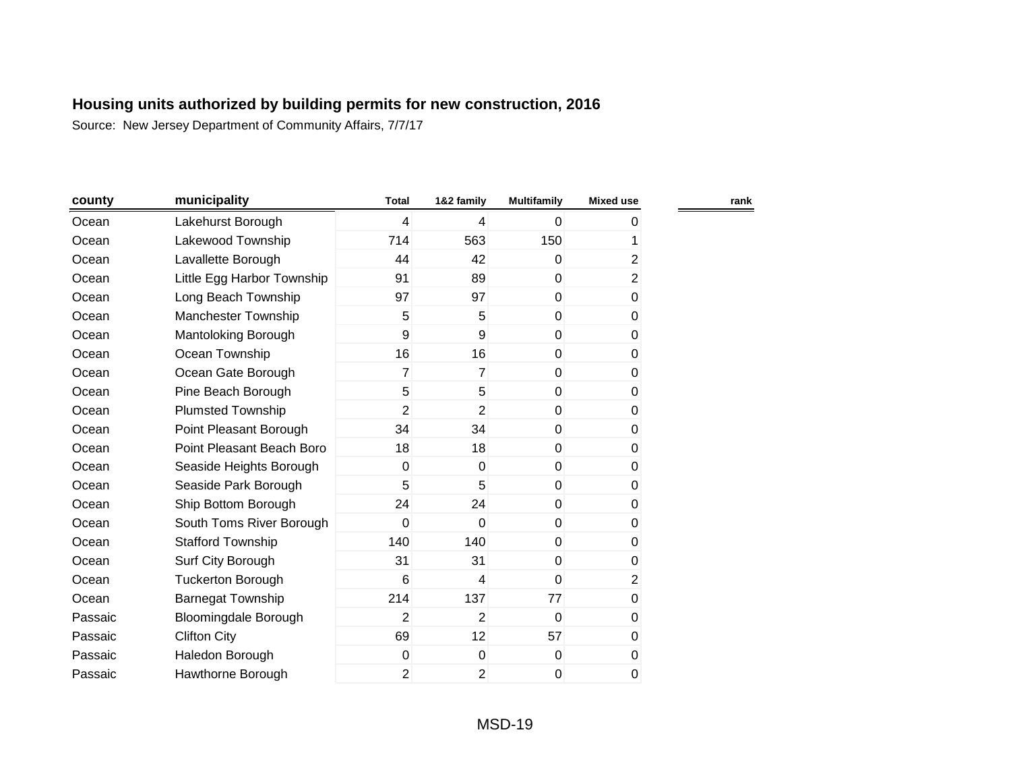| county  | municipality                | <b>Total</b>   | 1&2 family     | <b>Multifamily</b> | <b>Mixed use</b> |
|---------|-----------------------------|----------------|----------------|--------------------|------------------|
| Ocean   | Lakehurst Borough           | $\overline{4}$ | 4              | $\mathbf 0$        | 0                |
| Ocean   | Lakewood Township           | 714            | 563            | 150                | 1                |
| Ocean   | Lavallette Borough          | 44             | 42             | 0                  | $\overline{2}$   |
| Ocean   | Little Egg Harbor Township  | 91             | 89             | $\overline{0}$     | $\overline{2}$   |
| Ocean   | Long Beach Township         | 97             | 97             | $\mathbf 0$        | $\pmb{0}$        |
| Ocean   | Manchester Township         | 5              | 5              | $\mathbf 0$        | 0                |
| Ocean   | Mantoloking Borough         | 9              | 9              | $\mathbf 0$        | 0                |
| Ocean   | Ocean Township              | 16             | 16             | $\mathbf 0$        | 0                |
| Ocean   | Ocean Gate Borough          | 7              | $\overline{7}$ | 0                  | 0                |
| Ocean   | Pine Beach Borough          | 5              | 5              | 0                  | 0                |
| Ocean   | <b>Plumsted Township</b>    | $\overline{2}$ | $\overline{2}$ | $\mathbf{0}$       | 0                |
| Ocean   | Point Pleasant Borough      | 34             | 34             | $\mathbf{0}$       | 0                |
| Ocean   | Point Pleasant Beach Boro   | 18             | 18             | $\mathbf{0}$       | 0                |
| Ocean   | Seaside Heights Borough     | 0              | $\Omega$       | $\mathbf{0}$       | 0                |
| Ocean   | Seaside Park Borough        | 5              | 5              | $\overline{0}$     | 0                |
| Ocean   | Ship Bottom Borough         | 24             | 24             | $\mathbf{0}$       | 0                |
| Ocean   | South Toms River Borough    | $\mathbf 0$    | $\mathbf 0$    | $\mathbf 0$        | 0                |
| Ocean   | <b>Stafford Township</b>    | 140            | 140            | $\mathbf{0}$       | 0                |
| Ocean   | Surf City Borough           | 31             | 31             | 0                  | 0                |
| Ocean   | <b>Tuckerton Borough</b>    | 6              | 4              | $\mathbf{0}$       | $\overline{2}$   |
| Ocean   | <b>Barnegat Township</b>    | 214            | 137            | 77                 | $\mathbf 0$      |
| Passaic | <b>Bloomingdale Borough</b> | $\overline{2}$ | $\overline{2}$ | $\mathbf{0}$       | $\pmb{0}$        |
| Passaic | <b>Clifton City</b>         | 69             | 12             | 57                 | $\pmb{0}$        |
| Passaic | Haledon Borough             | 0              | $\mathbf 0$    | $\mathbf 0$        | 0                |
| Passaic | Hawthorne Borough           | 2              | $\overline{2}$ | 0                  | 0                |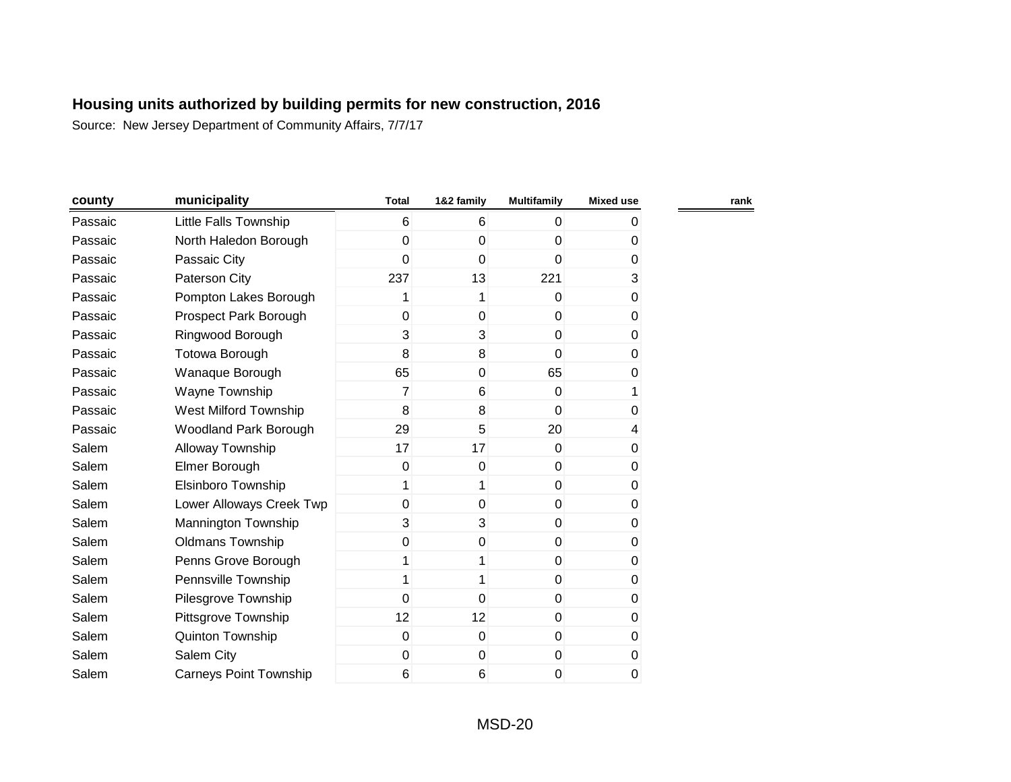| county  | municipality                  | <b>Total</b> | 1&2 family  | <b>Multifamily</b> | <b>Mixed use</b> |
|---------|-------------------------------|--------------|-------------|--------------------|------------------|
| Passaic | Little Falls Township         | 6            | 6           | 0                  | 0                |
| Passaic | North Haledon Borough         | 0            | $\mathbf 0$ | 0                  | 0                |
| Passaic | Passaic City                  | 0            | $\mathbf 0$ | 0                  | $\pmb{0}$        |
| Passaic | Paterson City                 | 237          | 13          | 221                | 3                |
| Passaic | Pompton Lakes Borough         | 1            | 1           | $\Omega$           | 0                |
| Passaic | Prospect Park Borough         | $\mathbf 0$  | 0           | $\overline{0}$     | 0                |
| Passaic | Ringwood Borough              | 3            | 3           | $\overline{0}$     | 0                |
| Passaic | Totowa Borough                | 8            | 8           | $\Omega$           | 0                |
| Passaic | Wanaque Borough               | 65           | 0           | 65                 | 0                |
| Passaic | Wayne Township                | 7            | 6           | $\Omega$           | 1                |
| Passaic | West Milford Township         | 8            | 8           | $\mathbf{0}$       | 0                |
| Passaic | <b>Woodland Park Borough</b>  | 29           | 5           | 20                 | 4                |
| Salem   | Alloway Township              | 17           | 17          | $\mathbf{0}$       | 0                |
| Salem   | Elmer Borough                 | $\mathbf 0$  | $\mathbf 0$ | $\overline{0}$     | 0                |
| Salem   | <b>Elsinboro Township</b>     | 1            | 1           | $\overline{0}$     | 0                |
| Salem   | Lower Alloways Creek Twp      | $\mathbf 0$  | $\mathbf 0$ | $\overline{0}$     | 0                |
| Salem   | Mannington Township           | 3            | 3           | $\pmb{0}$          | 0                |
| Salem   | <b>Oldmans Township</b>       | $\mathbf 0$  | 0           | $\mathbf 0$        | 0                |
| Salem   | Penns Grove Borough           | 1            | 1           | $\mathbf 0$        | 0                |
| Salem   | Pennsville Township           | 1            | 1           | $\mathbf{0}$       | 0                |
| Salem   | Pilesgrove Township           | 0            | $\mathbf 0$ | $\mathbf 0$        | 0                |
| Salem   | Pittsgrove Township           | 12           | 12          | $\mathbf 0$        | $\pmb{0}$        |
| Salem   | Quinton Township              | $\mathbf 0$  | $\mathbf 0$ | $\mathbf 0$        | 0                |
| Salem   | Salem City                    | 0            | 0           | $\pmb{0}$          | 0                |
| Salem   | <b>Carneys Point Township</b> | 6            | $\,6$       | 0                  | 0                |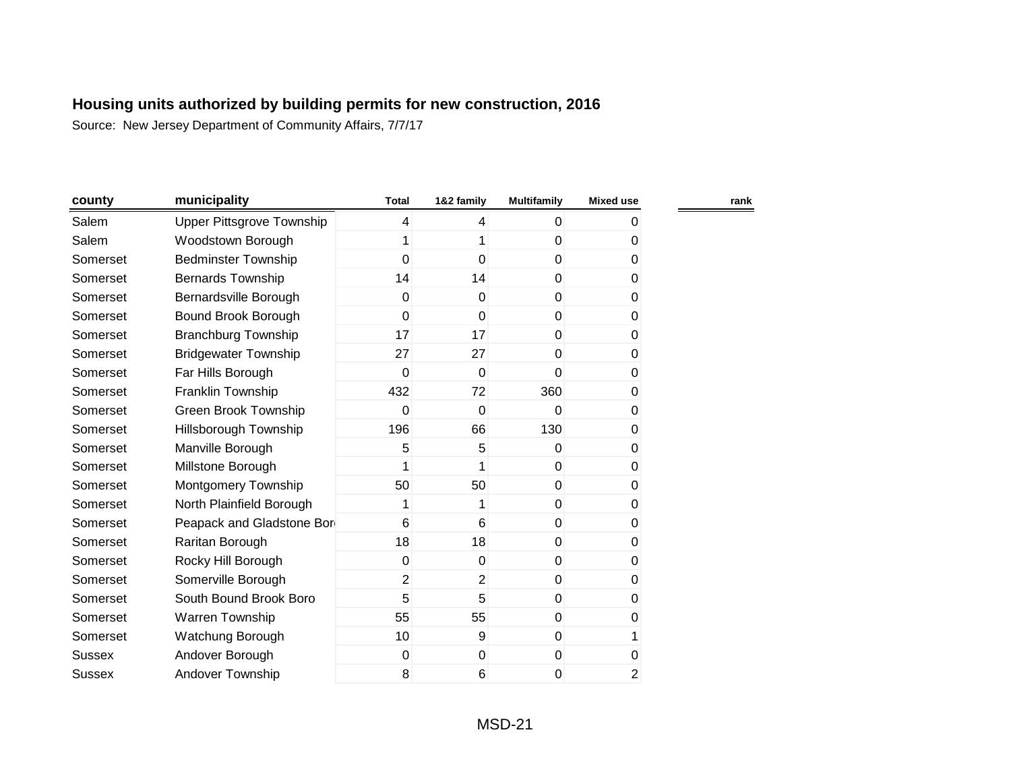| county   | municipality                     | <b>Total</b>   | 1&2 family     | <b>Multifamily</b> | <b>Mixed use</b> | rank |
|----------|----------------------------------|----------------|----------------|--------------------|------------------|------|
| Salem    | <b>Upper Pittsgrove Township</b> | 4              | 4              | $\mathbf 0$        | 0                |      |
| Salem    | Woodstown Borough                | 1              | 1              | 0                  | 0                |      |
| Somerset | <b>Bedminster Township</b>       | 0              | $\overline{0}$ | $\overline{0}$     | 0                |      |
| Somerset | <b>Bernards Township</b>         | 14             | 14             | $\overline{0}$     | 0                |      |
| Somerset | Bernardsville Borough            | 0              | $\Omega$       | $\mathbf 0$        | 0                |      |
| Somerset | Bound Brook Borough              | 0              | $\mathbf{0}$   | $\mathbf 0$        | 0                |      |
| Somerset | <b>Branchburg Township</b>       | 17             | 17             | $\mathbf{0}$       | 0                |      |
| Somerset | <b>Bridgewater Township</b>      | 27             | 27             | $\mathbf 0$        | 0                |      |
| Somerset | Far Hills Borough                | 0              | $\mathbf{0}$   | 0                  | 0                |      |
| Somerset | Franklin Township                | 432            | 72             | 360                | 0                |      |
| Somerset | Green Brook Township             | 0              | $\mathbf 0$    | $\Omega$           | 0                |      |
| Somerset | Hillsborough Township            | 196            | 66             | 130                | 0                |      |
| Somerset | Manville Borough                 | 5              | 5              | $\Omega$           | 0                |      |
| Somerset | Millstone Borough                | 1              |                | $\mathbf 0$        | 0                |      |
| Somerset | Montgomery Township              | 50             | 50             | $\mathbf 0$        | 0                |      |
| Somerset | North Plainfield Borough         | 1              | 1              | $\mathbf 0$        | 0                |      |
| Somerset | Peapack and Gladstone Bor        | 6              | 6              | $\mathbf 0$        | 0                |      |
| Somerset | Raritan Borough                  | 18             | 18             | $\pmb{0}$          | 0                |      |
| Somerset | Rocky Hill Borough               | $\pmb{0}$      | 0              | $\pmb{0}$          | 0                |      |
| Somerset | Somerville Borough               | $\overline{2}$ | $\overline{2}$ | $\mathbf 0$        | 0                |      |
| Somerset | South Bound Brook Boro           | 5              | 5              | $\mathbf 0$        | 0                |      |
| Somerset | Warren Township                  | 55             | 55             | $\mathbf 0$        | 0                |      |
| Somerset | Watchung Borough                 | 10             | 9              | $\mathbf 0$        | 1                |      |
| Sussex   | Andover Borough                  | 0              | 0              | 0                  | 0                |      |
| Sussex   | <b>Andover Township</b>          | 8              | 6              | 0                  | $\overline{2}$   |      |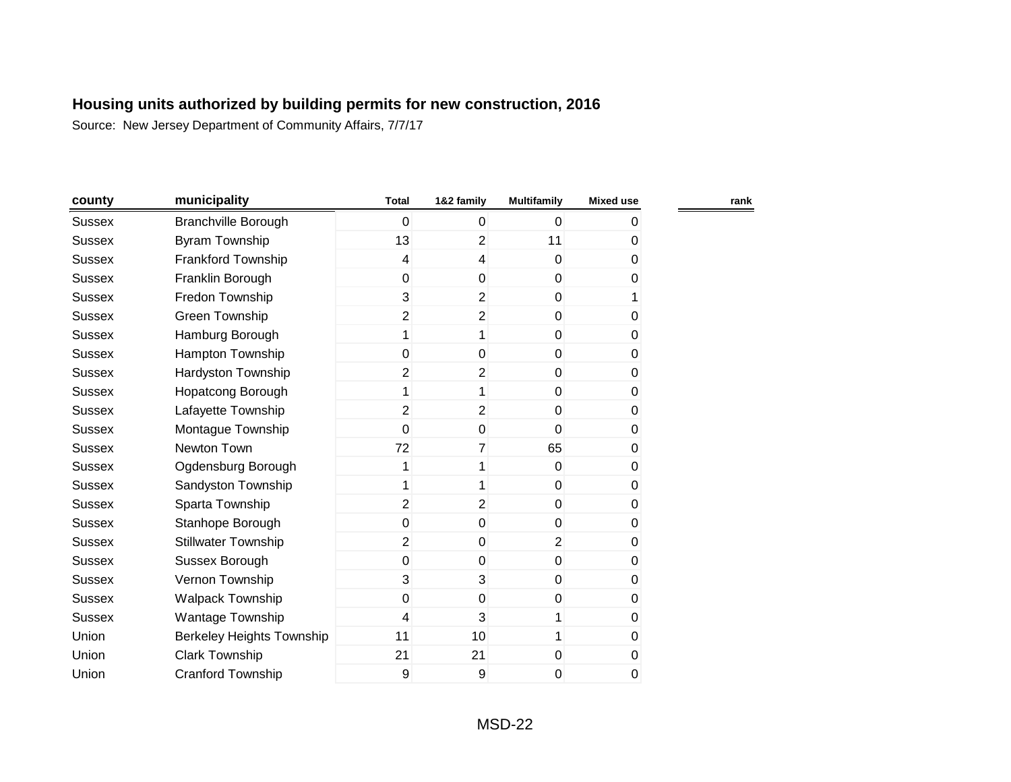| county        | municipality                     | <b>Total</b>   | 1&2 family     | <b>Multifamily</b> | <b>Mixed use</b> |
|---------------|----------------------------------|----------------|----------------|--------------------|------------------|
| <b>Sussex</b> | <b>Branchville Borough</b>       | 0              | 0              | $\Omega$           | 0                |
| <b>Sussex</b> | <b>Byram Township</b>            | 13             | $\overline{c}$ | 11                 | 0                |
| <b>Sussex</b> | Frankford Township               | 4              | 4              | 0                  | $\overline{0}$   |
| <b>Sussex</b> | Franklin Borough                 | 0              | $\mathbf 0$    | 0                  | 0                |
| <b>Sussex</b> | Fredon Township                  | 3              | $\overline{2}$ | 0                  |                  |
| <b>Sussex</b> | Green Township                   | $\overline{2}$ | $\overline{2}$ | 0                  | 0                |
| <b>Sussex</b> | Hamburg Borough                  | $\mathbf{1}$   | 1              | 0                  | 0                |
| <b>Sussex</b> | Hampton Township                 | 0              | $\mathbf 0$    | 0                  | 0                |
| <b>Sussex</b> | <b>Hardyston Township</b>        | $\overline{2}$ | 2              | 0                  | 0                |
| <b>Sussex</b> | Hopatcong Borough                | 1              | 1              | $\pmb{0}$          | 0                |
| <b>Sussex</b> | Lafayette Township               | $\overline{2}$ | $\overline{2}$ | 0                  | 0                |
| <b>Sussex</b> | Montague Township                | 0              | $\pmb{0}$      | 0                  | 0                |
| <b>Sussex</b> | Newton Town                      | 72             | 7              | 65                 | 0                |
| <b>Sussex</b> | Ogdensburg Borough               | 1              | 1              | 0                  | 0                |
| <b>Sussex</b> | Sandyston Township               | 1              | 1              | 0                  | 0                |
| <b>Sussex</b> | Sparta Township                  | $\overline{2}$ | $\overline{2}$ | 0                  | 0                |
| <b>Sussex</b> | Stanhope Borough                 | 0              | $\mathbf 0$    | 0                  | 0                |
| <b>Sussex</b> | <b>Stillwater Township</b>       | $\overline{2}$ | $\mathbf 0$    | $\overline{2}$     | 0                |
| <b>Sussex</b> | Sussex Borough                   | $\mathbf 0$    | $\mathbf 0$    | 0                  | 0                |
| <b>Sussex</b> | Vernon Township                  | 3              | 3              | 0                  | 0                |
| <b>Sussex</b> | <b>Walpack Township</b>          | $\mathbf 0$    | $\mathbf 0$    | 0                  | 0                |
| <b>Sussex</b> | Wantage Township                 | 4              | 3              | 1                  | 0                |
| Union         | <b>Berkeley Heights Township</b> | 11             | 10             | 1                  | 0                |
| Union         | <b>Clark Township</b>            | 21             | 21             | 0                  | 0                |
| Union         | <b>Cranford Township</b>         | 9              | 9              | 0                  | 0                |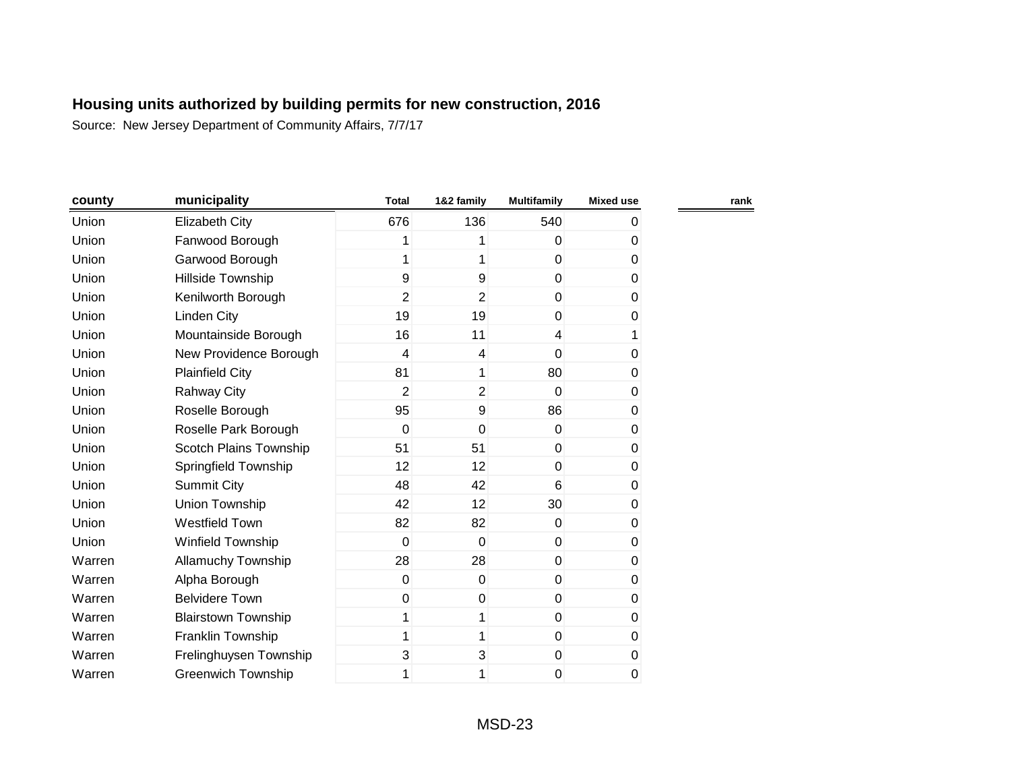| county | municipality               | <b>Total</b>     | 1&2 family       | <b>Multifamily</b> | <b>Mixed use</b> |  |
|--------|----------------------------|------------------|------------------|--------------------|------------------|--|
| Union  | <b>Elizabeth City</b>      | 676              | 136              | 540                | 0                |  |
| Union  | Fanwood Borough            | 1                |                  | 0                  | 0                |  |
| Union  | Garwood Borough            | 1                | 1                | $\mathbf{0}$       | 0                |  |
| Union  | Hillside Township          | 9                | 9                | $\mathbf 0$        | 0                |  |
| Union  | Kenilworth Borough         | $\overline{2}$   | $\overline{2}$   | $\mathbf 0$        | 0                |  |
| Union  | Linden City                | 19               | 19               | $\mathbf 0$        | 0                |  |
| Union  | Mountainside Borough       | 16               | 11               | 4                  | 1                |  |
| Union  | New Providence Borough     | 4                | 4                | $\mathbf 0$        | 0                |  |
| Union  | <b>Plainfield City</b>     | 81               | 1                | 80                 | 0                |  |
| Union  | <b>Rahway City</b>         | $\overline{2}$   | $\overline{2}$   | 0                  | 0                |  |
| Union  | Roselle Borough            | 95               | $\boldsymbol{9}$ | 86                 | 0                |  |
| Union  | Roselle Park Borough       | $\mathbf 0$      | $\mathbf 0$      | $\Omega$           | 0                |  |
| Union  | Scotch Plains Township     | 51               | 51               | $\mathbf{0}$       | 0                |  |
| Union  | Springfield Township       | 12               | 12               | 0                  | $\pmb{0}$        |  |
| Union  | <b>Summit City</b>         | 48               | 42               | 6                  | $\pmb{0}$        |  |
| Union  | Union Township             | 42               | 12               | 30                 | $\pmb{0}$        |  |
| Union  | Westfield Town             | 82               | 82               | $\mathbf{0}$       | 0                |  |
| Union  | <b>Winfield Township</b>   | $\mathbf 0$      | $\mathbf 0$      | $\mathbf 0$        | 0                |  |
| Warren | <b>Allamuchy Township</b>  | 28               | 28               | $\mathbf 0$        | 0                |  |
| Warren | Alpha Borough              | $\mathbf 0$      | 0                | 0                  | 0                |  |
| Warren | <b>Belvidere Town</b>      | $\boldsymbol{0}$ | $\boldsymbol{0}$ | $\mathbf 0$        | 0                |  |
| Warren | <b>Blairstown Township</b> | 1                | 1                | $\mathbf 0$        | 0                |  |
| Warren | Franklin Township          | 1                | 1                | 0                  | $\pmb{0}$        |  |
| Warren | Frelinghuysen Township     | 3                | 3                | $\mathbf{0}$       | 0                |  |
| Warren | <b>Greenwich Township</b>  | 1                | 1                | 0                  | 0                |  |